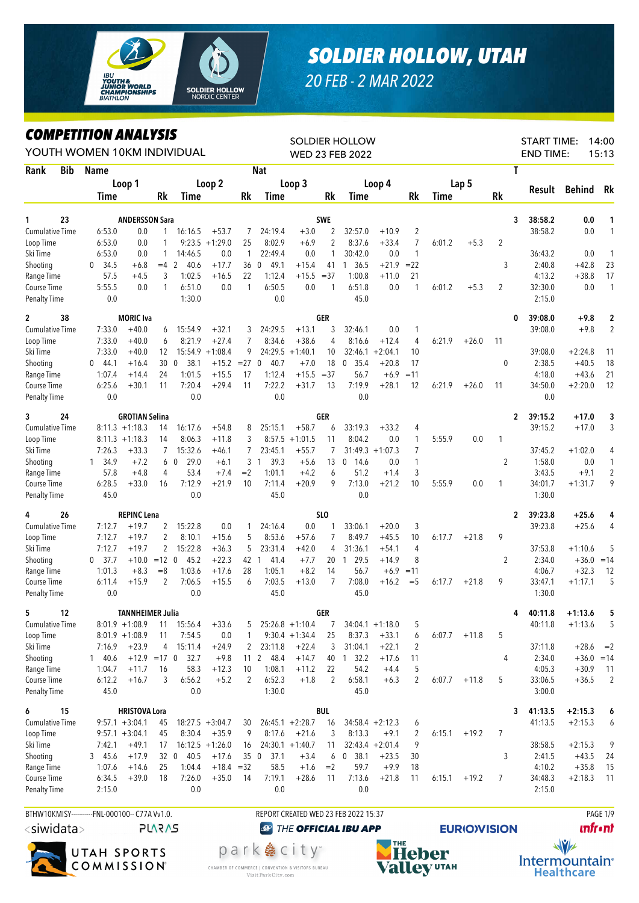

## *SOLDIER HOLLOW, UTAH*

*20 FEB - 2 MAR 2022*

## *COMPETITION ANALYSIS*

|                                    |     | <i><b>COMPEILION ANALYSIS</b></i><br>YOUTH WOMEN 10KM INDIVIDUAL |                              |                |                             |                    |                 |                                 |                    |                 | <b>SOLDIER HOLLOW</b><br><b>WED 23 FEB 2022</b> |                    |                                |        |         |    | <b>START TIME:</b><br><b>END TIME:</b> |                        | 14:00<br>15:13   |
|------------------------------------|-----|------------------------------------------------------------------|------------------------------|----------------|-----------------------------|--------------------|-----------------|---------------------------------|--------------------|-----------------|-------------------------------------------------|--------------------|--------------------------------|--------|---------|----|----------------------------------------|------------------------|------------------|
| Rank                               | Bib | Name                                                             |                              |                |                             |                    |                 | <b>Nat</b>                      |                    |                 |                                                 |                    |                                |        |         | T  |                                        |                        |                  |
|                                    |     |                                                                  | Loop 1                       |                |                             | Loop 2             |                 |                                 | Loop 3             |                 |                                                 | Loop 4             |                                |        | Lap 5   |    |                                        |                        |                  |
|                                    |     | Time                                                             |                              | Rk             | Time                        |                    | Rk              | Time                            |                    | Rk              | <b>Time</b>                                     |                    | Rk                             | Time   |         | Rk | Result                                 | Behind                 | Rk               |
|                                    |     |                                                                  |                              |                |                             |                    |                 |                                 |                    |                 |                                                 |                    |                                |        |         |    |                                        |                        |                  |
| 1<br><b>Cumulative Time</b>        | 23  | 6:53.0                                                           | <b>ANDERSSON Sara</b><br>0.0 | $\mathbf{1}$   |                             | $+53.7$            |                 | 24:19.4                         | $+3.0$             | <b>SWE</b><br>2 | 32:57.0                                         | $+10.9$            | $\overline{2}$                 |        |         | 3  | 38:58.2<br>38:58.2                     | 0.0<br>0.0             | 1<br>1           |
| Loop Time                          |     | 6:53.0                                                           | 0.0                          | 1              | 16:16.5                     | $9:23.5 +1:29.0$   | 7<br>25         | 8:02.9                          | $+6.9$             | $\overline{2}$  | 8:37.6                                          | $+33.4$            | 7                              | 6:01.2 | $+5.3$  | 2  |                                        |                        |                  |
| Ski Time                           |     | 6:53.0                                                           | 0.0                          | 1              | 14:46.5                     | 0.0                | $\mathbf{1}$    | 22:49.4                         | 0.0                | 1               | 30:42.0                                         | 0.0                | $\mathbf{1}$                   |        |         |    | 36:43.2                                | 0.0                    | 1                |
| Shooting                           |     | 34.5<br>$\mathbf{0}$                                             | $+6.8$                       | $=4$ 2         | 40.6                        | $+17.7$            | 36              | 49.1<br>$\mathbf 0$             | $+15.4$            | 41              | 1, 36.5                                         | $+21.9$            | $= 22$                         |        |         | 3  | 2:40.8                                 | $+42.8$                | 23               |
| Range Time                         |     | 57.5                                                             | $+4.5$                       | 3              | 1:02.5                      | $+16.5$            | 22              | 1:12.4                          | $+15.5$            | $= 37$          | 1:00.8                                          | $+11.0$            | 21                             |        |         |    | 4:13.2                                 | $+38.8$                | 17               |
| Course Time                        |     | 5:55.5                                                           | 0.0                          | 1              | 6:51.0                      | 0.0                | $\mathbf{1}$    | 6:50.5                          | 0.0                | 1               | 6:51.8                                          | 0.0                | $\mathbf{1}$                   | 6:01.2 | $+5.3$  | 2  | 32:30.0                                | $0.0\,$                | $\mathbf{1}$     |
| Penalty Time                       |     | $0.0\,$                                                          |                              |                | 1:30.0                      |                    |                 | 0.0                             |                    |                 | 45.0                                            |                    |                                |        |         |    | 2:15.0                                 |                        |                  |
| $\mathbf{2}$                       | 38  |                                                                  | <b>MORIC</b> Iva             |                |                             |                    |                 |                                 |                    | <b>GER</b>      |                                                 |                    |                                |        |         | 0  | 39:08.0                                | $+9.8$                 | $\boldsymbol{2}$ |
| <b>Cumulative Time</b>             |     | 7:33.0                                                           | $+40.0$                      | 6              | 15:54.9                     | $+32.1$            | 3               | 24:29.5                         | $+13.1$            | 3               | 32:46.1                                         | 0.0                | $\mathbf{1}$                   |        |         |    | 39:08.0                                | $+9.8$                 | $\overline{2}$   |
| Loop Time                          |     | 7:33.0                                                           | $+40.0$                      | 6              | 8:21.9                      | $+27.4$            | 7               | 8:34.6                          | $+38.6$            | $\overline{4}$  | 8:16.6                                          | $+12.4$            | $\overline{4}$                 | 6:21.9 | $+26.0$ | 11 |                                        |                        |                  |
| Ski Time                           |     | 7:33.0                                                           | $+40.0$                      | 12             |                             | $15:54.9 + 1:08.4$ | 9               | 24:29.5                         | $+1:40.1$          | 10              | 32:46.1                                         | $+2:04.1$          | 10                             |        |         |    | 39:08.0                                | $+2:24.8$              | 11               |
| Shooting                           |     | 44.1<br>$\mathbf{0}$                                             | $+16.4$                      | 30             | 38.1<br>$\mathbf 0$         | $+15.2 = 27$ 0     |                 | 40.7                            | $+7.0$             | 18              | $\mathbf 0$<br>35.4                             | $+20.8$            | 17                             |        |         | 0  | 2:38.5                                 | $+40.5$                | 18               |
| Range Time                         |     | 1:07.4                                                           | $+14.4$                      | 24             | 1:01.5                      | $+15.5$            | 17              | 1:12.4                          | $+15.5$            | $= 37$          | 56.7                                            | $+6.9$             | $=11$                          |        |         |    | 4:18.0                                 | $+43.6$                | 21               |
| Course Time<br><b>Penalty Time</b> |     | 6:25.6<br>0.0                                                    | $+30.1$                      | 11             | 7:20.4<br>0.0               | $+29.4$            | 11              | 7:22.2<br>0.0                   | $+31.7$            | 13              | 7:19.9<br>0.0                                   | $+28.1$            | 12                             | 6:21.9 | $+26.0$ | 11 | 34:50.0<br>0.0                         | $+2:20.0$              | 12               |
|                                    |     |                                                                  |                              |                |                             |                    |                 |                                 |                    |                 |                                                 |                    |                                |        |         |    |                                        |                        |                  |
| 3                                  | 24  |                                                                  | <b>GROTIAN Selina</b>        |                |                             |                    |                 |                                 |                    | GER             |                                                 |                    |                                |        |         | 2  | 39:15.2                                | +17.0                  | 3                |
| <b>Cumulative Time</b>             |     |                                                                  | $8:11.3 +1:18.3$             | 14             | 16:17.6                     | $+54.8$            | 8               | 25:15.1                         | $+58.7$            | 6               | 33:19.3                                         | $+33.2$            | 4                              |        |         |    | 39:15.2                                | $+17.0$                | 3                |
| Loop Time                          |     |                                                                  | $8:11.3 +1:18.3$             | 14             | 8:06.3                      | $+11.8$            | 3               | 8:57.5                          | $+1:01.5$          | 11              | 8:04.2                                          | 0.0                | $\mathbf{1}$                   | 5:55.9 | 0.0     | 1  |                                        |                        |                  |
| Ski Time                           |     | 7:26.3<br>34.9                                                   | $+33.3$<br>$+7.2$            | 7              | 15:32.6<br>6 0<br>29.0      | $+46.1$<br>$+6.1$  | 7<br>3          | 23:45.1<br>39.3<br>$\mathbf{1}$ | $+55.7$<br>$+5.6$  | 7<br>13         | $\mathbf 0$                                     | $31:49.3 +1:07.3$  | $\overline{7}$<br>$\mathbf{1}$ |        |         |    | 37:45.2<br>1:58.0                      | $+1:02.0$<br>0.0       | 4<br>1           |
| Shooting<br>Range Time             |     | $\mathbf{1}$<br>57.8                                             | $+4.8$                       | 4              | 53.4                        | $+7.4$             | $=2$            | 1:01.1                          | $+4.2$             | 6               | 14.6<br>51.2                                    | 0.0<br>$+1.4$      | 3                              |        |         | 2  | 3:43.5                                 | $+9.1$                 | $\overline{2}$   |
| Course Time                        |     | 6:28.5                                                           | $+33.0$                      | 16             | 7:12.9                      | $+21.9$            | 10              | 7:11.4                          | $+20.9$            | 9               | 7:13.0                                          | $+21.2$            | 10                             | 5:55.9 | 0.0     | 1  | 34:01.7                                | $+1:31.7$              | 9                |
| <b>Penalty Time</b>                |     | 45.0                                                             |                              |                | 0.0                         |                    |                 | 45.0                            |                    |                 | 0.0                                             |                    |                                |        |         |    | 1:30.0                                 |                        |                  |
| 4                                  | 26  |                                                                  | <b>REPINC Lena</b>           |                |                             |                    |                 |                                 |                    | SLO             |                                                 |                    |                                |        |         | 2  | 39:23.8                                | $+25.6$                | 4                |
| <b>Cumulative Time</b>             |     | 7:12.7                                                           | $+19.7$                      | 2              | 15:22.8                     | 0.0                | 1               | 24:16.4                         | 0.0                | 1               | 33:06.1                                         | $+20.0$            | 3                              |        |         |    | 39:23.8                                | $+25.6$                | 4                |
| Loop Time                          |     | 7:12.7                                                           | $+19.7$                      | 2              | 8:10.1                      | $+15.6$            | 5               | 8:53.6                          | $+57.6$            | $\overline{7}$  | 8:49.7                                          | $+45.5$            | 10                             | 6:17.7 | $+21.8$ | 9  |                                        |                        |                  |
| Ski Time                           |     | 7:12.7                                                           | $+19.7$                      | $\overline{2}$ | 15:22.8                     | $+36.3$            | 5               | 23:31.4                         | $+42.0$            | 4               | 31:36.1                                         | $+54.1$            | 4                              |        |         |    | 37:53.8                                | $+1:10.6$              | 5                |
| Shooting                           |     | 37.7<br>$\mathbf{0}$                                             | $+10.0$                      | $=12$ 0        | 45.2                        | $+22.3$            | 42              | 41.4<br>$\mathbf{1}$            | $+7.7$             | 20              | 29.5<br>$\mathbf{1}$                            | $+14.9$            | 8                              |        |         | 2  | 2:34.0                                 | $+36.0$                | $=14$            |
| Range Time                         |     | 1:01.3                                                           | $+8.3$                       | $=8$           | 1:03.6                      | $+17.6$            | 28              | 1:05.1                          | $+8.2$             | 14              | 56.7                                            | $+6.9$             | $=11$                          |        |         |    | 4:06.7                                 | $+32.3$                | 12               |
| Course Time                        |     | 6:11.4                                                           | $+15.9$                      | 2              | 7:06.5                      | $+15.5$            | 6               | 7:03.5                          | $+13.0$            | 7               | 7:08.0                                          | $+16.2$            | $=$ 5                          | 6:17.7 | $+21.8$ | 9  | 33:47.1                                | $+1:17.1$              | 5                |
| <b>Penalty Time</b>                |     | 0.0                                                              |                              |                | 0.0                         |                    |                 | 45.0                            |                    |                 | 45.0                                            |                    |                                |        |         |    | 1:30.0                                 |                        |                  |
| 5                                  | 12  |                                                                  | <b>TANNHEIMER Julia</b>      |                |                             |                    |                 |                                 |                    | <b>GER</b>      |                                                 |                    |                                |        |         | 4  | 40:11.8                                | $+1:13.6$              | 5                |
| <b>Cumulative Time</b>             |     |                                                                  | $8:01.9 +1:08.9$             |                | 11 15:56.4                  | $+33.6$            | 5               |                                 | $25:26.8 +1:10.4$  | 7               |                                                 | $34:04.1 + 1:18.0$ | 5                              |        |         |    | 40:11.8                                | $+1:13.6$              | 5                |
| Loop Time                          |     |                                                                  | $8:01.9 +1:08.9$             | 11             | 7:54.5                      | 0.0                | 1               |                                 | $9:30.4 +1:34.4$   | 25              | 8:37.3                                          | $+33.1$            | 6                              | 6:07.7 | $+11.8$ | 5  |                                        |                        |                  |
| Ski Time                           |     | 7:16.9                                                           | $+23.9$                      | 4              | 15:11.4                     | $+24.9$            | 2               | 23:11.8                         | $+22.4$            | 3               | 31:04.1                                         | $+22.1$            | 2                              |        |         |    | 37:11.8                                | $+28.6$                | $=2$             |
| Shooting<br>Range Time             |     | 140.6<br>1:04.7                                                  | $+11.7$                      | 16             | $+12.9$ = 17 0 32.7<br>58.3 | $+9.8$<br>$+12.3$  | 10              | 11 2 48.4<br>1:08.1             | $+14.7$<br>$+11.2$ | 40<br>22        | $1 \quad 32.2$<br>54.2                          | $+17.6$<br>$+4.4$  | 11<br>5                        |        |         | 4  | 2:34.0<br>4:05.3                       | $+36.0 = 14$           | 11               |
| Course Time                        |     | 6:12.2                                                           | $+16.7$                      | 3              | 6:56.2                      | $+5.2$             | 2               | 6:52.3                          | $+1.8$             | 2               | 6:58.1                                          | $+6.3$             | 2                              | 6:07.7 | $+11.8$ | 5  | 33:06.5                                | $+30.9$<br>$+36.5$     | $\overline{2}$   |
| <b>Penalty Time</b>                |     | 45.0                                                             |                              |                | 0.0                         |                    |                 | 1:30.0                          |                    |                 | 45.0                                            |                    |                                |        |         |    | 3:00.0                                 |                        |                  |
|                                    | 15  |                                                                  | <b>HRISTOVA Lora</b>         |                |                             |                    |                 |                                 |                    | <b>BUL</b>      |                                                 |                    |                                |        |         |    |                                        |                        |                  |
| 6<br><b>Cumulative Time</b>        |     |                                                                  | $9:57.1 + 3:04.1$            | 45             |                             | $18:27.5 + 3:04.7$ | 30              |                                 | $26:45.1 + 2:28.7$ | 16              |                                                 | $34:58.4 +2:12.3$  | 6                              |        |         | 3  | 41:13.5<br>41:13.5                     | $+2:15.3$<br>$+2:15.3$ | 6<br>6           |
| Loop Time                          |     |                                                                  | $9:57.1 + 3:04.1$            | 45             | 8:30.4                      | $+35.9$            | 9               | 8:17.6                          | $+21.6$            | 3               | 8:13.3                                          | $+9.1$             | 2                              | 6:15.1 | $+19.2$ | 7  |                                        |                        |                  |
| Ski Time                           |     | 7:42.1                                                           | $+49.1$                      | 17             |                             | $16:12.5 + 1:26.0$ | 16              |                                 | $24:30.1 + 1:40.7$ | 11              |                                                 | $32:43.4 + 2:01.4$ | 9                              |        |         |    | 38:58.5                                | $+2:15.3$              | 9                |
| Shooting                           |     | 345.6                                                            | $+17.9$                      |                | 32 0 40.5                   | $+17.6$            | 35 <sub>0</sub> | 37.1                            | $+3.4$             | 6               | $\boldsymbol{0}$<br>38.1                        | $+23.5$            | 30                             |        |         | 3  | 2:41.5                                 | $+43.5$                | 24               |
| Range Time                         |     | 1:07.6                                                           | $+14.6$                      | 25             | 1:04.4                      | $+18.4 = 32$       |                 | 58.5                            | $+1.6$             | $=2$            | 59.7                                            | $+9.9$             | 18                             |        |         |    | 4:10.2                                 | $+35.8$                | 15               |
| Course Time                        |     | 6:34.5                                                           | $+39.0$                      | 18             | 7:26.0                      | $+35.0$            | 14              | 7:19.1                          | $+28.6$            | 11              | 7:13.6                                          | $+21.8$            | 11                             | 6:15.1 | $+19.2$ | 7  | 34:48.3                                | $+2:18.3$              | 11               |
| <b>Penalty Time</b>                |     | 2:15.0                                                           |                              |                | $0.0\,$                     |                    |                 | 0.0                             |                    |                 | 0.0                                             |                    |                                |        |         |    | 2:15.0                                 |                        |                  |
|                                    |     |                                                                  |                              |                |                             |                    |                 |                                 |                    |                 |                                                 |                    |                                |        |         |    |                                        |                        |                  |

BTHW10KMISY----------FNL-000100-- C77A Vv1.0. REPORT CREATED WED 23 FEB 2022 15:37 PAGE 1/9 <siwidata>

**PLARAS** 

UTAH SPORTS COMMISSION®

park 急 city<sup>®</sup> CHAMBER OF COMMERCE | CONVENTION & VISITORS BUREAU Visit Park City.com



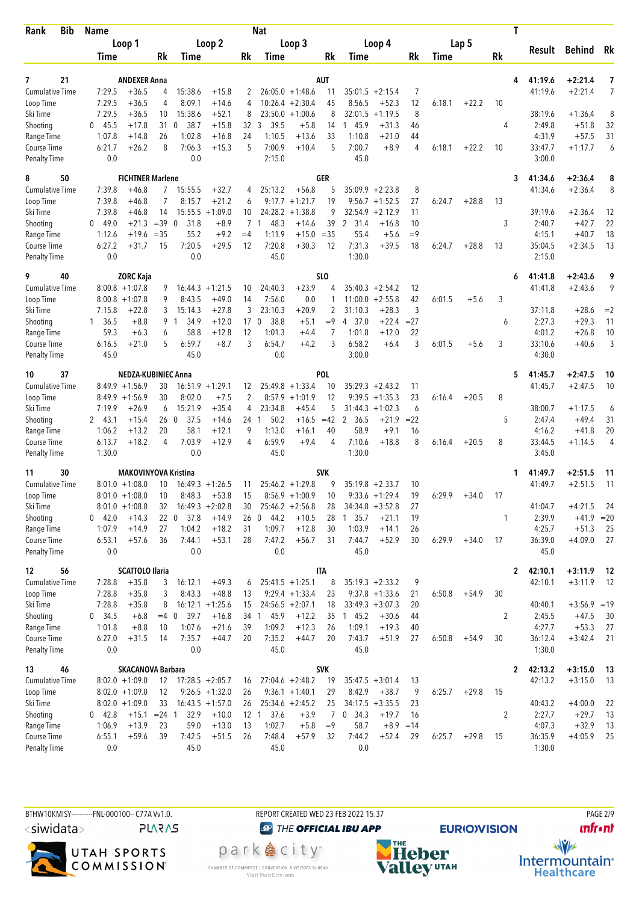| Bib<br>Rank                         | <b>Name</b>                    |                                |                                   |                    |                 | <b>Nat</b>             |                                |                |                   |                              |                |        |         | T              |                   |                      |                |
|-------------------------------------|--------------------------------|--------------------------------|-----------------------------------|--------------------|-----------------|------------------------|--------------------------------|----------------|-------------------|------------------------------|----------------|--------|---------|----------------|-------------------|----------------------|----------------|
|                                     | Loop 1                         |                                |                                   | Loop 2             |                 |                        | Loop 3                         |                |                   | Loop 4                       |                |        | Lap 5   |                |                   |                      |                |
|                                     | Time                           | Rk                             | Time                              |                    | Rk              | Time                   |                                | Rk             | Time              |                              | Rk             | Time   |         | <b>Rk</b>      | Result            | Behind               | Rk             |
|                                     |                                |                                |                                   |                    |                 |                        |                                |                |                   |                              |                |        |         |                |                   |                      |                |
| 7<br>21                             |                                | <b>ANDEXER Anna</b>            |                                   |                    |                 |                        |                                | <b>AUT</b>     |                   |                              |                |        |         | 4              | 41:19.6           | $+2:21.4$            | 7              |
| <b>Cumulative Time</b><br>Loop Time | 7:29.5<br>7:29.5               | $+36.5$<br>4<br>$+36.5$<br>4   | 15:38.6<br>8:09.1                 | $+15.8$<br>$+14.6$ | 2<br>4          | 10:26.4                | $26:05.0 +1:48.6$<br>$+2:30.4$ | 11<br>45       | 8:56.5            | $35:01.5 +2:15.4$<br>$+52.3$ | 7<br>12        | 6:18.1 | $+22.2$ | 10             | 41:19.6           | $+2:21.4$            | $\overline{7}$ |
| Ski Time                            | 7:29.5                         | $+36.5$<br>10                  | 15:38.6                           | $+52.1$            | 8               | 23:50.0                | $+1:00.6$                      | 8              | 32:01.5           | $+1:19.5$                    | 8              |        |         |                | 38:19.6           | $+1:36.4$            | 8              |
| Shooting                            | $0$ 45.5                       | $+17.8$                        | 310<br>38.7                       | $+15.8$            | 32 3            | 39.5                   | $+5.8$                         | 14             | 1 45.9            | $+31.3$                      | 46             |        |         | 4              | 2:49.8            | $+51.8$              | 32             |
| Range Time                          | 1:07.8                         | 26<br>$+14.8$                  | 1:02.8                            | $+16.8$            | 24              | 1:10.5                 | $+13.6$                        | 33             | 1:10.8            | $+21.0$                      | 44             |        |         |                | 4:31.9            | $+57.5$              | 31             |
| Course Time                         | 6:21.7                         | 8<br>$+26.2$                   | 7:06.3                            | $+15.3$            | 5               | 7:00.9                 | $+10.4$                        | 5              | 7:00.7            | $+8.9$                       | $\overline{4}$ | 6:18.1 | $+22.2$ | 10             | 33:47.7           | $+1:17.7$            | 6              |
| <b>Penalty Time</b>                 | 0.0                            |                                | 0.0                               |                    |                 | 2:15.0                 |                                |                | 45.0              |                              |                |        |         |                | 3:00.0            |                      |                |
| 8<br>50                             |                                | <b>FICHTNER Marlene</b>        |                                   |                    |                 |                        |                                | GER            |                   |                              |                |        |         | 3              | 41:34.6           | $+2:36.4$            | 8              |
| <b>Cumulative Time</b>              | 7:39.8                         | $+46.8$                        | 7<br>15:55.5                      | $+32.7$            | 4               | 25:13.2                | $+56.8$                        | 5              |                   | $35:09.9 + 2:23.8$           | 8              |        |         |                | 41:34.6           | $+2:36.4$            | 8              |
| Loop Time                           | 7:39.8                         | $+46.8$<br>7                   | 8:15.7                            | $+21.2$            | 6               |                        | $9:17.7 +1:21.7$               | 19             | 9:56.7            | $+1:52.5$                    | 27             | 6:24.7 | $+28.8$ | 13             |                   |                      |                |
| Ski Time                            | 7:39.8                         | 14<br>$+46.8$                  | 15:55.5                           | $+1:09.0$          | 10              | 24:28.2                | $+1:38.8$                      | 9              | 32:54.9           | $+2:12.9$                    | 11             |        |         |                | 39:19.6           | $+2:36.4$            | 12             |
| Shooting                            | 49.0<br>0                      | $+21.3$<br>$=39$               | 31.8<br>0                         | $+8.9$             | $7^{\circ}$     | 48.3<br>$\overline{1}$ | $+14.6$                        | 39             | 2<br>31.4         | $+16.8$                      | 10             |        |         | 3              | 2:40.7            | $+42.7$              | 22             |
| Range Time                          | 1:12.6                         | $= 35$<br>$+19.6$              | 55.2                              | $+9.2$             | $=4$            | 1:11.9                 | $+15.0$                        | $=35$          | 55.4              | $+5.6$                       | $=9$           |        |         |                | 4:15.1            | $+40.7$              | 18             |
| Course Time<br><b>Penalty Time</b>  | 6:27.2<br>0.0                  | $+31.7$<br>15                  | 7:20.5<br>0.0                     | $+29.5$            | 12              | 7:20.8<br>45.0         | $+30.3$                        | 12             | 7:31.3<br>1:30.0  | $+39.5$                      | 18             | 6:24.7 | $+28.8$ | 13             | 35:04.5<br>2:15.0 | $+2:34.5$            | 13             |
|                                     |                                |                                |                                   |                    |                 |                        |                                |                |                   |                              |                |        |         |                |                   |                      |                |
| 9<br>40                             |                                | <b>ZORC Kaja</b>               |                                   |                    |                 |                        |                                | SLO            |                   |                              |                |        |         | 6              | 41:41.8           | $+2:43.6$            | 9              |
| <b>Cumulative Time</b>              | $8:00.8 + 1:07.8$              | 9                              | $16:44.3 + 1:21.5$                |                    | 10              | 24:40.3                | $+23.9$                        | 4              |                   | $35:40.3 +2:54.2$            | 12             |        |         |                | 41:41.8           | $+2:43.6$            | 9              |
| Loop Time                           | $8:00.8 + 1:07.8$              | 9<br>3                         | 8:43.5                            | $+49.0$            | 14<br>3         | 7:56.0                 | 0.0                            | 1              | 11:00.0           | $+2:55.8$                    | 42<br>3        | 6:01.5 | $+5.6$  | 3              | 37:11.8           |                      |                |
| Ski Time<br>Shooting                | 7:15.8<br>36.5<br>$\mathbf{1}$ | $+22.8$<br>$+8.8$<br>9         | 15:14.3<br>34.9<br>$\overline{1}$ | $+27.8$<br>$+12.0$ | 17 <sub>0</sub> | 23:10.3<br>38.8        | $+20.9$<br>$+5.1$              | 2<br>$=9$      | 31:10.3<br>4 37.0 | $+28.3$<br>$+22.4$           | $= 27$         |        |         | 6              | 2:27.3            | $+28.6$<br>$+29.3$   | $=2$<br>11     |
| Range Time                          | 59.3                           | 6<br>$+6.3$                    | 58.8                              | $+12.8$            | 12              | 1:01.3                 | $+4.4$                         | 7              | 1:01.8            | $+12.0$                      | 22             |        |         |                | 4:01.2            | $+26.8$              | 10             |
| Course Time                         | 6:16.5                         | $+21.0$<br>5                   | 6:59.7                            | $+8.7$             | 3               | 6:54.7                 | $+4.2$                         | 3              | 6:58.2            | $+6.4$                       | 3              | 6:01.5 | $+5.6$  | 3              | 33:10.6           | $+40.6$              | 3              |
| <b>Penalty Time</b>                 | 45.0                           |                                | 45.0                              |                    |                 | 0.0                    |                                |                | 3:00.0            |                              |                |        |         |                | 4:30.0            |                      |                |
| 37<br>10                            |                                | <b>NEDZA-KUBINIEC Anna</b>     |                                   |                    |                 |                        |                                | POL            |                   |                              |                |        |         | 5              | 41:45.7           | $+2:47.5$            | 10             |
| <b>Cumulative Time</b>              | $8:49.9 +1:56.9$               | 30                             | $16:51.9 + 1:29.1$                |                    | 12              |                        | $25:49.8 + 1:33.4$             | 10             | 35:29.3           | $+2:43.2$                    | 11             |        |         |                | 41:45.7           | $+2:47.5$            | 10             |
| Loop Time                           | $8:49.9 +1:56.9$               | 30                             | 8:02.0                            | $+7.5$             | 2               | 8:57.9                 | $+1:01.9$                      | 12             | 9:39.5            | $+1:35.3$                    | 23             | 6:16.4 | $+20.5$ | 8              |                   |                      |                |
| Ski Time                            | 7:19.9                         | $+26.9$<br>6                   | 15:21.9                           | $+35.4$            | 4               | 23:34.8                | $+45.4$                        | 5              | 31:44.3           | $+1:02.3$                    | 6              |        |         |                | 38:00.7           | +1:17.5              | 6              |
| Shooting                            | 2, 43.1                        | $+15.4$                        | 26 0<br>37.5                      | $+14.6$            | 24 1            | 50.2                   | $+16.5$                        | $=42$          | 2<br>36.5         | $+21.9$                      | $= 22$         |        |         | 5              | 2:47.4            | $+49.4$              | 31             |
| Range Time                          | 1:06.2                         | 20<br>$+13.2$                  | 58.1                              | $+12.1$            | 9               | 1:13.0                 | $+16.1$                        | 40             | 58.9              | $+9.1$                       | 16             |        |         |                | 4:16.2            | $+41.8$              | 20             |
| Course Time                         | 6:13.7                         | $+18.2$<br>4                   | 7:03.9                            | $+12.9$            | 4               | 6:59.9                 | $+9.4$                         | 4              | 7:10.6            | $+18.8$                      | 8              | 6:16.4 | $+20.5$ | 8              | 33:44.5           | $+1:14.5$            | 4              |
| <b>Penalty Time</b>                 | 1:30.0                         |                                | 0.0                               |                    |                 | 45.0                   |                                |                | 1:30.0            |                              |                |        |         |                | 3:45.0            |                      |                |
| 30<br>11                            |                                | <b>MAKOVINYOVA Kristina</b>    |                                   |                    |                 |                        |                                | <b>SVK</b>     |                   |                              |                |        |         | 1              | 41:49.7           | $+2:51.5$            | 11             |
| <b>Cumulative Time</b>              | $8:01.0 + 1:08.0$              | 10                             | $16:49.3 + 1:26.5$                |                    | 11              |                        | $25:46.2 +1:29.8$              | g              |                   | $35:19.8 + 2:33.7$           | 10             |        |         |                | 41:49.7           | $+2:51.5$            | 11             |
| Loop Time                           | $8:01.0 +1:08.0$               | 10                             | 8:48.3                            | $+53.8$            | 15              |                        | $8:56.9 +1:00.9$               | 10             |                   | $9:33.6 + 1:29.4$            | 19             | 6:29.9 | $+34.0$ | 17             |                   |                      |                |
| Ski Time                            | $8:01.0 +1:08.0$               | 32                             | $16:49.3 + 2:02.8$                |                    | 30              | 44.2                   | $25:46.2 +2:56.8$              | 28             |                   | $34:34.8 + 3:52.8$           | 27             |        |         |                | 41:04.7           | $+4:21.5$            | 24             |
| Shooting<br>Range Time              | 0 42.0<br>1:07.9               | $+14.3$<br>$+14.9$<br>27       | 37.8<br>220<br>1:04.2             | $+14.9$<br>$+18.2$ | 260<br>31       | 1:09.7                 | $+10.5$<br>$+12.8$             | 28<br>30       | 1, 35.7<br>1:03.9 | $+21.1$<br>$+14.1$           | 19<br>26       |        |         | 1              | 2:39.9<br>4:25.7  | $+41.9$<br>$+51.3$   | $=20$<br>25    |
| Course Time                         | 6:53.1                         | $+57.6$<br>36                  | 7:44.1                            | $+53.1$            | 28              | 7:47.2                 | $+56.7$                        | 31             | 7:44.7            | $+52.9$                      | 30             | 6:29.9 | $+34.0$ | 17             | 36:39.0           | $+4:09.0$            | 27             |
| <b>Penalty Time</b>                 | 0.0                            |                                | 0.0                               |                    |                 | 0.0                    |                                |                | 45.0              |                              |                |        |         |                | 45.0              |                      |                |
| 56<br>12                            |                                | <b>SCATTOLO Ilaria</b>         |                                   |                    |                 |                        |                                | <b>ITA</b>     |                   |                              |                |        |         | 2              | 42:10.1           | $+3:11.9$            | 12             |
| <b>Cumulative Time</b>              | 7:28.8                         | $+35.8$<br>3                   | 16:12.1                           | $+49.3$            | 6               |                        | $25:41.5 + 1:25.1$             | 8              |                   | $35:19.3 + 2:33.2$           | 9              |        |         |                | 42:10.1           | $+3:11.9$            | 12             |
| Loop Time                           | 7:28.8                         | $+35.8$<br>3                   | 8:43.3                            | $+48.8$            | 13              |                        | $9:29.4 + 1:33.4$              | 23             |                   | $9:37.8 +1:33.6$             | 21             | 6:50.8 | $+54.9$ | 30             |                   |                      |                |
| Ski Time                            | 7:28.8                         | $+35.8$<br>8                   | $16:12.1 + 1:25.6$                |                    | 15              |                        | $24:56.5 + 2:07.1$             | 18             |                   | $33:49.3 + 3:07.3$           | 20             |        |         |                | 40:40.1           | $+3:56.9$            | $=19$          |
| Shooting                            | 34.5<br>0                      | $+6.8$                         | 39.7<br>$=4$ 0                    | $+16.8$            |                 | 34 1<br>45.9           | $+12.2$                        | 35             | 145.2             | $+30.6$                      | 44             |        |         | $\overline{2}$ | 2:45.5            | $+47.5$              | 30             |
| Range Time                          | 1:01.8                         | $+8.8$<br>10                   | 1:07.6                            | $+21.6$            | 39              | 1:09.2                 | $+12.3$                        | 26             | 1:09.1            | $+19.3$                      | 40             |        |         |                | 4:27.7            | $+53.3$              | 27             |
| Course Time                         | 6:27.0                         | $+31.5$<br>14                  | 7:35.7                            | $+44.7$            | 20              | 7:35.2                 | $+44.7$                        | 20             | 7:43.7            | $+51.9$                      | 27             | 6:50.8 | $+54.9$ | 30             | 36:12.4           | $+3:42.4$            | 21             |
| <b>Penalty Time</b>                 | 0.0                            |                                | 0.0                               |                    |                 | 45.0                   |                                |                | 45.0              |                              |                |        |         |                | 1:30.0            |                      |                |
| 13<br>46                            |                                | <b>SKACANOVA Barbara</b>       |                                   |                    |                 |                        |                                | <b>SVK</b>     |                   |                              |                |        |         | 2              | 42:13.2           | $+3:15.0$            | 13             |
| Cumulative Time                     | $8:02.0 +1:09.0$               | 12                             | $17:28.5 + 2:05.7$                |                    | 16              |                        | $27:04.6 +2:48.2$              | 19             |                   | $35:47.5 + 3:01.4$           | 13             |        |         |                | 42:13.2           | $+3:15.0$            | 13             |
| Loop Time                           | $8:02.0 +1:09.0$               | 12                             |                                   | $9:26.5 +1:32.0$   | 26              |                        | $9:36.1 + 1:40.1$              | 29             | 8:42.9            | $+38.7$                      | 9              | 6:25.7 | $+29.8$ | 15             |                   |                      |                |
| Ski Time                            | $8:02.0 +1:09.0$               | 33                             | $16:43.5 + 1:57.0$                |                    | 26              |                        | $25:34.6 + 2:45.2$             | 25             |                   | $34:17.5 + 3:35.5$           | 23             |        |         |                | 40:43.2           | $+4:00.0$            | 22             |
| Shooting                            | $0$ 42.8                       | $+15.1 = 24$ 1                 | 32.9                              | $+10.0$            |                 | 12 1 37.6              | $+3.9$                         | $\overline{7}$ | 0, 34.3           | $+19.7$                      | 16             |        |         | 2              | 2:27.7            | $+29.7$              | 13             |
| Range Time<br>Course Time           | 1:06.9<br>6:55.1               | $+13.9$<br>23<br>$+59.6$<br>39 | 59.0<br>7:42.5                    | $+13.0$<br>$+51.5$ | 13<br>26        | 1:02.7<br>7:48.4       | $+5.8$<br>$+57.9$              | $=9$<br>32     | 58.7<br>7:44.2    | $+8.9 = 14$<br>$+52.4$       | 29             | 6:25.7 | $+29.8$ | 15             | 4:07.3<br>36:35.9 | $+32.9$<br>$+4:05.9$ | 13<br>25       |
| Penalty Time                        | 0.0                            |                                | 45.0                              |                    |                 | 45.0                   |                                |                | 0.0               |                              |                |        |         |                | 1:30.0            |                      |                |
|                                     |                                |                                |                                   |                    |                 |                        |                                |                |                   |                              |                |        |         |                |                   |                      |                |

BTHW10KMISY----------FNL-000100-- C77A Vv1.0. REPORT CREATED WED 23 FEB 2022 15:37 PAGE 2001 PAGE 219  $\langle$ siwidata $\rangle$ **PLARAS** 



**O THE OFFICIAL IBU APP** 

park e city<sup>®</sup>

CHAMBER OF COMMERCE | CONVENTION & VISITORS BUREAU<br>Visit Park City.com



**EURIO)VISION** 

**unfront**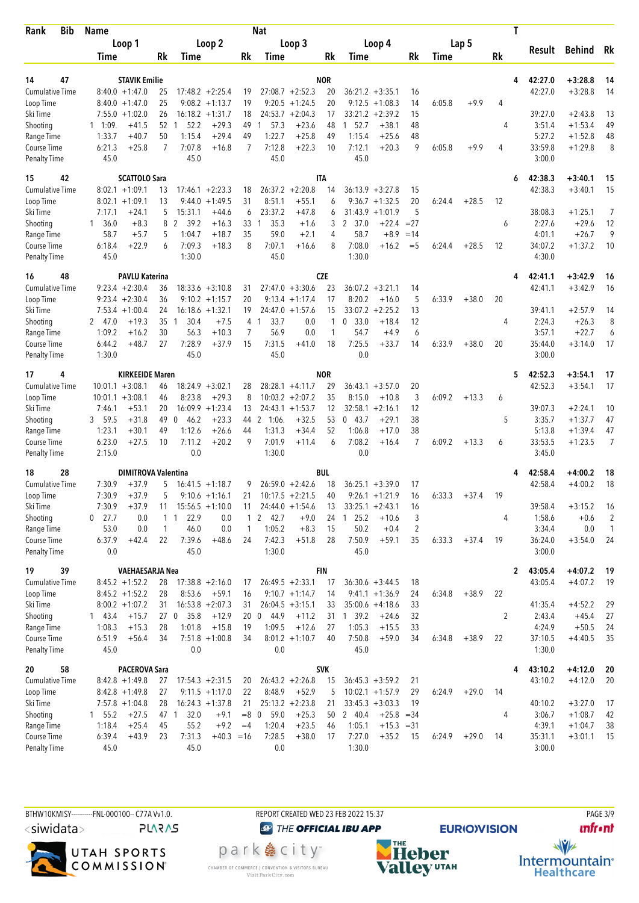| Bib<br>Rank               | Name                                   |                            |                                        |                                        |              | Nat                             |                                        |            |                                             |                |        |         | Τ         |                  |                        |                |
|---------------------------|----------------------------------------|----------------------------|----------------------------------------|----------------------------------------|--------------|---------------------------------|----------------------------------------|------------|---------------------------------------------|----------------|--------|---------|-----------|------------------|------------------------|----------------|
|                           | Loop 1                                 |                            |                                        | Loop 2                                 |              |                                 | Loop 3                                 |            | Loop 4                                      |                |        | Lap 5   |           |                  |                        |                |
|                           | Time                                   |                            | <b>Rk</b><br>Time                      |                                        | Rk           | Time                            |                                        | Rk         | Time                                        | Rk             | Time   |         | <b>Rk</b> | Result           | Behind                 | Rk             |
|                           |                                        |                            |                                        |                                        |              |                                 |                                        |            |                                             |                |        |         |           |                  |                        |                |
| 14<br>47                  |                                        | <b>STAVIK Emilie</b>       |                                        |                                        |              |                                 |                                        | <b>NOR</b> |                                             |                |        |         | 4         | 42:27.0          | $+3:28.8$              | 14             |
| <b>Cumulative Time</b>    | $8:40.0 + 1:47.0$                      |                            | 25<br>25                               | $17:48.2 + 2:25.4$<br>$9:08.2 +1:13.7$ | 19<br>19     |                                 | $27:08.7 + 2:52.3$                     | 20<br>20   | $36:21.2 + 3:35.1$                          | 16             |        |         | 4         | 42:27.0          | $+3:28.8$              | 14             |
| Loop Time<br>Ski Time     | $8:40.0 + 1:47.0$<br>$7:55.0 + 1:02.0$ |                            | 26                                     | $16:18.2 + 1:31.7$                     | 18           |                                 | $9:20.5 +1:24.5$<br>$24:53.7 + 2:04.3$ | 17         | 9:12.5<br>$+1:08.3$<br>33:21.2<br>$+2:39.2$ | 14<br>15       | 6:05.8 | $+9.9$  |           | 39:27.0          | $+2:43.8$              | 13             |
| Shooting                  | $1 \quad 1:09$                         | $+41.5$                    | 52 1<br>52.2                           | $+29.3$                                | 49           | 57.3<br>1                       | $+23.6$                                | 48         | 1, 52.7<br>$+38.1$                          | 48             |        |         | 4         | 3:51.4           | $+1:53.4$              | 49             |
| Range Time                | 1:33.7                                 | $+40.7$                    | 50<br>1:15.4                           | $+29.4$                                | 49           | 1:22.7                          | $+25.8$                                | 49         | 1:15.4<br>$+25.6$                           | 48             |        |         |           | 5:27.2           | $+1:52.8$              | 48             |
| Course Time               | 6:21.3                                 | $+25.8$                    | $\overline{7}$<br>7:07.8               | $+16.8$                                | 7            | 7:12.8                          | $+22.3$                                | 10         | $+20.3$<br>7:12.1                           | 9              | 6:05.8 | $+9.9$  | 4         | 33:59.8          | $+1:29.8$              | 8              |
| <b>Penalty Time</b>       | 45.0                                   |                            | 45.0                                   |                                        |              | 45.0                            |                                        |            | 45.0                                        |                |        |         |           | 3:00.0           |                        |                |
| 42<br>15                  |                                        | <b>SCATTOLO Sara</b>       |                                        |                                        |              |                                 |                                        | <b>ITA</b> |                                             |                |        |         | 6         | 42:38.3          | $+3:40.1$              | 15             |
| Cumulative Time           | $8:02.1 +1:09.1$                       |                            | 13                                     | $17:46.1 + 2:23.3$                     | 18           |                                 | $26:37.2 +2:20.8$                      | 14         | $36:13.9 + 3:27.8$                          | 15             |        |         |           | 42:38.3          | $+3:40.1$              | 15             |
| Loop Time                 | $8:02.1 +1:09.1$                       |                            | 13<br>9:44.0                           | $+1:49.5$                              | 31           | 8:51.1                          | $+55.1$                                | 6          | $+1:32.5$<br>9:36.7                         | 20             | 6:24.4 | $+28.5$ | 12        |                  |                        |                |
| Ski Time                  | 7:17.1                                 | $+24.1$                    | 5<br>15:31.1                           | $+44.6$                                | 6            | 23:37.2                         | $+47.8$                                | 6          | 31:43.9<br>$+1:01.9$                        | 5              |        |         |           | 38:08.3          | $+1:25.1$              | 7              |
| Shooting                  | 36.0<br>1.                             | $+8.3$                     | 8<br>2<br>39.2                         | $+16.3$                                | 33           | 35.3<br>$\mathbf{1}$            | $+1.6$                                 | 3          | 2 37.0<br>$+22.4$                           | $= 27$         |        |         | 6         | 2:27.6           | $+29.6$                | 12             |
| Range Time                | 58.7                                   | $+5.7$                     | 1:04.7<br>5                            | $+18.7$                                | 35           | 59.0                            | $+2.1$                                 | 4          | 58.7<br>$+8.9$                              | $=14$          |        |         |           | 4:01.1           | $+26.7$                | 9              |
| Course Time               | 6:18.4                                 | $+22.9$                    | 7:09.3<br>6                            | $+18.3$                                | 8            | 7:07.1                          | $+16.6$                                | 8          | 7:08.0<br>$+16.2$                           | $=$ 5          | 6:24.4 | $+28.5$ | 12        | 34:07.2          | $+1:37.2$              | 10             |
| <b>Penalty Time</b>       | 45.0                                   |                            | 1:30.0                                 |                                        |              | 45.0                            |                                        |            | 1:30.0                                      |                |        |         |           | 4:30.0           |                        |                |
| 16<br>48                  |                                        | <b>PAVLU Katerina</b>      |                                        |                                        |              |                                 |                                        | <b>CZE</b> |                                             |                |        |         | 4         | 42:41.1          | $+3:42.9$              | 16             |
| <b>Cumulative Time</b>    | $9:23.4 +2:30.4$                       |                            | 36                                     | $18:33.6 + 3:10.8$                     | 31           |                                 | $27:47.0 +3:30.6$                      | 23         | $36:07.2 + 3:21.1$                          | 14             |        |         |           | 42:41.1          | $+3:42.9$              | 16             |
| Loop Time                 | $9:23.4 +2:30.4$                       |                            | 36                                     | $9:10.2 +1:15.7$                       | 20           |                                 | $9:13.4 +1:17.4$                       | 17         | 8:20.2<br>$+16.0$                           | 5              | 6:33.9 | $+38.0$ | 20        |                  |                        |                |
| Ski Time                  | $7:53.4 +1:00.4$                       |                            | 24                                     | $16:18.6 + 1:32.1$                     | 19           |                                 | $24:47.0 + 1:57.6$                     | 15         | 33:07.2<br>$+2:25.2$                        | 13             |        |         |           | 39:41.1          | $+2:57.9$              | 14             |
| Shooting                  | 2, 47.0                                | $+19.3$                    | 35<br>30.4<br>$\mathbf{1}$             | $+7.5$                                 | 4            | 33.7<br>-1                      | 0.0                                    | 1          | 33.0<br>$+18.4$<br>0                        | 12             |        |         | 4         | 2:24.3           | $+26.3$                | 8              |
| Range Time                | 1:09.2                                 | $+16.2$                    | 30<br>56.3                             | $+10.3$                                | 7            | 56.9                            | 0.0                                    | 1          | 54.7<br>$+4.9$                              | 6              |        |         |           | 3:57.1           | $+22.7$                | 6              |
| <b>Course Time</b>        | 6:44.2                                 | $+48.7$                    | 27<br>7:28.9                           | $+37.9$                                | 15           | 7:31.5                          | $+41.0$                                | 18         | 7:25.5<br>$+33.7$                           | 14             | 6:33.9 | $+38.0$ | 20        | 35:44.0          | $+3:14.0$              | 17             |
| <b>Penalty Time</b>       | 1:30.0                                 |                            | 45.0                                   |                                        |              | 45.0                            |                                        |            | 0.0                                         |                |        |         |           | 3:00.0           |                        |                |
| 17<br>4                   |                                        | <b>KIRKEEIDE Maren</b>     |                                        |                                        |              |                                 |                                        | <b>NOR</b> |                                             |                |        |         | 5         | 42:52.3          | $+3:54.1$              | 17             |
| Cumulative Time           | $10:01.1 + 3:08.1$                     |                            | 18:24.9<br>46                          | $+3:02.1$                              | 28           |                                 | $28:28.1 +4:11.7$                      | 29         | 36:43.1<br>$+3:57.0$                        | 20             |        |         |           | 42:52.3          | $+3:54.1$              | 17             |
| Loop Time                 | $10:01.1 + 3:08.1$                     |                            | 8:23.8<br>46                           | $+29.3$                                | 8            |                                 | $10:03.2 + 2:07.2$                     | 35         | 8:15.0<br>$+10.8$                           | 3              | 6:09.2 | $+13.3$ | 6         |                  |                        |                |
| Ski Time                  | 7:46.1                                 | $+53.1$                    | 20                                     | $16:09.9 + 1:23.4$                     | 13           |                                 | $24:43.1 + 1:53.7$                     | 12         | 32:58.1<br>$+2:16.1$                        | 12             |        |         |           | 39:07.3          | $+2:24.1$              | 10             |
| Shooting                  | 3 59.5<br>1:23.1                       | $+31.8$<br>$+30.1$         | 49<br>$\Omega$<br>46.2<br>49<br>1:12.6 | $+23.3$<br>$+26.6$                     | 44<br>44     | $\mathbf{2}$<br>1:06.<br>1:31.3 | $+32.5$<br>$+34.4$                     | 53<br>52   | 043.7<br>$+29.1$<br>1:06.8<br>$+17.0$       | 38<br>38       |        |         | 5         | 3:35.7<br>5:13.8 | $+1:37.7$<br>$+1:39.4$ | 47<br>47       |
| Range Time<br>Course Time | 6:23.0                                 | $+27.5$                    | 10<br>7:11.2                           | $+20.2$                                | 9            | 7:01.9                          | $+11.4$                                | 6          | 7:08.2<br>$+16.4$                           | 7              | 6:09.2 | $+13.3$ | 6         | 33:53.5          | $+1:23.5$              | $\overline{7}$ |
| <b>Penalty Time</b>       | 2:15.0                                 |                            | 0.0                                    |                                        |              | 1:30.0                          |                                        |            | 0.0                                         |                |        |         |           | 3:45.0           |                        |                |
| 18<br>28                  |                                        | <b>DIMITROVA Valentina</b> |                                        |                                        |              |                                 |                                        | <b>BUL</b> |                                             |                |        |         |           | 42:58.4          | $+4:00.2$              | 18             |
| <b>Cumulative Time</b>    | 7:30.9                                 | +37.9                      | 5                                      | $16:41.5 + 1:18.7$                     | 9            |                                 | $26:59.0 + 2:42.6$                     | 18         | $36:25.1 + 3:39.0$                          | 17             |        |         |           | 42:58.4          | $+4:00.2$              | 18             |
| Loop Time                 | 7:30.9                                 | $+37.9$                    | 5                                      | $9:10.6 + 1:16.1$                      | 21           |                                 | $10:17.5 +2:21.5$                      | 40         | $9:26.1 + 1:21.9$                           | 16             | 6:33.3 | $+37.4$ | 19        |                  |                        |                |
| Ski Time                  | 7:30.9                                 | $+37.9$                    | 11                                     | $15:56.5 +1:10.0$                      | 11           |                                 | $24:44.0 + 1:54.6$                     | 13         | $33:25.1 + 2:43.1$                          | 16             |        |         |           | 39:58.4          | $+3:15.2$              | 16             |
| Shooting                  | $0$ 27.7                               | 0.0                        | 22.9<br>$1\quad1$                      | 0.0                                    | $\mathbf{1}$ | $\mathbf{2}$<br>42.7            | $+9.0$                                 | 24         | 125.2<br>$+10.6$                            | 3              |        |         | 4         | 1:58.6           | $+0.6$                 | $\overline{2}$ |
| Range Time                | 53.0                                   | 0.0                        | 46.0<br>$\mathbf{1}$                   | 0.0                                    | $\mathbf{1}$ | 1:05.2                          | $+8.3$                                 | 15         | 50.2<br>$+0.4$                              | $\overline{2}$ |        |         |           | 3:34.4           | 0.0                    | $\mathbf{1}$   |
| Course Time               | 6:37.9                                 | $+42.4$                    | 22<br>7:39.6                           | $+48.6$                                | 24           | 7:42.3                          | $+51.8$                                | 28         | 7:50.9<br>$+59.1$                           | 35             | 6:33.3 | $+37.4$ | 19        | 36:24.0          | $+3:54.0$              | 24             |
| <b>Penalty Time</b>       | 0.0                                    |                            | 45.0                                   |                                        |              | 1:30.0                          |                                        |            | 45.0                                        |                |        |         |           | 3:00.0           |                        |                |
| 19<br>39                  |                                        | VAEHAESARJA Nea            |                                        |                                        |              |                                 |                                        | <b>FIN</b> |                                             |                |        |         | 2         | 43:05.4          | $+4:07.2$              | -19            |
| <b>Cumulative Time</b>    | $8:45.2 +1:52.2$                       |                            | 28                                     | $17:38.8 + 2:16.0$                     | 17           |                                 | $26:49.5 + 2:33.1$                     | 17         | $36:30.6 + 3:44.5$                          | 18             |        |         |           | 43:05.4          | $+4:07.2$              | 19             |
| Loop Time                 | $8:45.2 + 1:52.2$                      |                            | 28<br>8:53.6                           | $+59.1$                                | 16           |                                 | $9:10.7 +1:14.7$                       | 14         | $9:41.1 + 1:36.9$                           | 24             | 6:34.8 | $+38.9$ | 22        |                  |                        |                |
| Ski Time                  | $8:00.2 +1:07.2$                       |                            | 31                                     | $16:53.8 + 2:07.3$                     | 31           |                                 | $26:04.5 + 3:15.1$                     | 33         | $35:00.6 +4:18.6$                           | 33             |        |         |           | 41:35.4          | $+4:52.2$              | 29             |
| Shooting                  | 143.4                                  | $+15.7$                    | 35.8<br>27 0                           | $+12.9$                                |              | 20 0<br>44.9                    | $+11.2$                                |            | 31 1 39.2<br>$+24.6$                        | 32             |        |         | 2         | 2:43.4           | $+45.4$                | 27             |
| Range Time                | 1:08.3                                 | $+15.3$                    | 1:01.8<br>28                           | $+15.8$                                | 19           | 1:09.5                          | $+12.6$                                | 27         | 1:05.3<br>$+15.5$                           | 33             |        |         |           | 4:24.9           | $+50.5$                | 24             |
| Course Time               | 6:51.9                                 | $+56.4$                    | 34                                     | $7:51.8 +1:00.8$                       | 34           |                                 | $8:01.2 +1:10.7$                       | 40         | 7:50.8<br>$+59.0$                           | 34             | 6:34.8 | $+38.9$ | 22        | 37:10.5          | $+4:40.5$              | 35             |
| <b>Penalty Time</b>       | 45.0                                   |                            | 0.0                                    |                                        |              | 0.0                             |                                        |            | 45.0                                        |                |        |         |           | 1:30.0           |                        |                |
| 58<br>20                  |                                        | <b>PACEROVA Sara</b>       |                                        |                                        |              |                                 |                                        | <b>SVK</b> |                                             |                |        |         | 4         | 43:10.2          | $+4:12.0$              | 20             |
| <b>Cumulative Time</b>    | $8:42.8 +1:49.8$                       |                            | 27                                     | $17:54.3 +2:31.5$                      | 20           |                                 | $26:43.2 +2:26.8$                      | 15         | $36:45.3 + 3:59.2$                          | 21             |        |         |           | 43:10.2          | $+4:12.0$              | 20             |
| Loop Time                 | $8:42.8 + 1:49.8$                      |                            | 27                                     | $9:11.5 + 1:17.0$                      | 22           | 8:48.9                          | $+52.9$                                | 5          | $10:02.1 + 1:57.9$                          | 29             | 6:24.9 | $+29.0$ | 14        |                  |                        |                |
| Ski Time                  | $7:57.8 +1:04.8$                       |                            | 28                                     | $16:24.3 +1:37.8$                      | 21           |                                 | $25:13.2 +2:23.8$                      | 21         | $33:45.3 + 3:03.3$                          | 19             |        |         |           | 40:10.2          | $+3:27.0$              | 17             |
| Shooting                  | 1 55.2                                 | $+27.5$                    | 32.0<br>47 1                           | $+9.1$                                 | $=8$ 0       | 59.0                            | $+25.3$                                | 50         | 2 40.4<br>$+25.8$                           | $=34$          |        |         | 4         | 3:06.7           | $+1:08.7$              | 42             |
| Range Time                | 1:18.4                                 | $+25.4$                    | 55.2<br>45                             | $+9.2$                                 | $=4$         | 1:20.4                          | $+23.5$                                | 46         | 1:05.1                                      | $+15.3 = 31$   |        |         |           | 4:39.1           | $+1:04.7$              | 38             |
| Course Time               | 6:39.4                                 | $+43.9$                    | 7:31.3<br>23                           | $+40.3 = 16$                           |              | 7:28.5                          | $+38.0$                                | 17         | 7:27.0<br>$+35.2$                           | 15             | 6:24.9 | $+29.0$ | 14        | 35:31.1          | $+3:01.1$              | 15             |
| <b>Penalty Time</b>       | 45.0                                   |                            | 45.0                                   |                                        |              | 0.0                             |                                        |            | 1:30.0                                      |                |        |         |           | 3:00.0           |                        |                |

BTHW10KMISY----------FNL-000100-- C77A Vv1.0. REPORT CREATED WED 23 FEB 2022 15:37 PAGE 3/9  $\langle$ siwidata $\rangle$ **PLARAS** 



CHAMBER OF COMMERCE | CONVENTION & VISITORS BUREAU<br>Visit Park City.com

**O THE OFFICIAL IBU APP** park e city<sup>®</sup>

**EURIO)VISION** 

**unfront** 



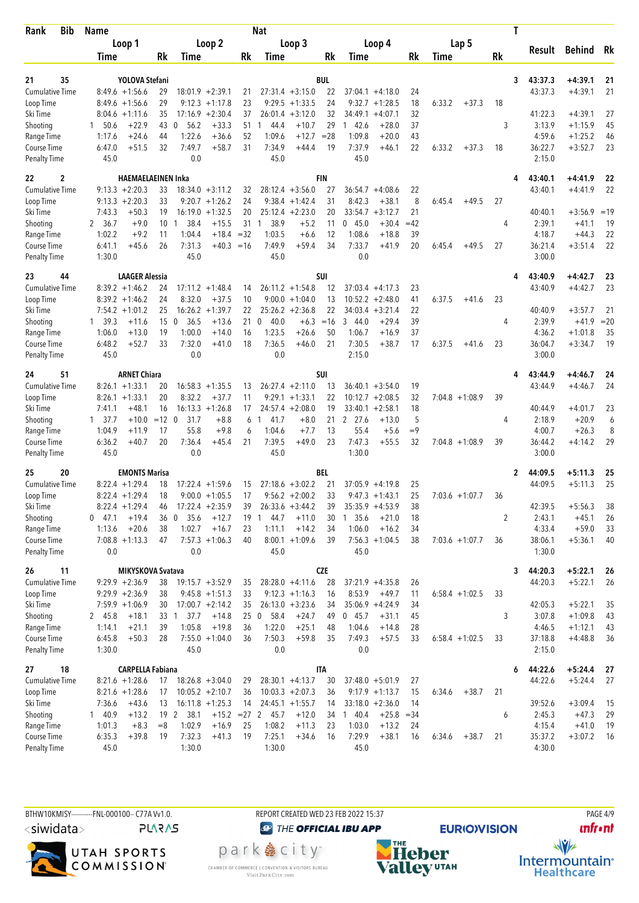| Bib<br>Rank                        | <b>Name</b>                |                                |                       |                          | <b>Nat</b>           |                    |                  |                                         |          |                   | T              |                    |                        |          |
|------------------------------------|----------------------------|--------------------------------|-----------------------|--------------------------|----------------------|--------------------|------------------|-----------------------------------------|----------|-------------------|----------------|--------------------|------------------------|----------|
|                                    | Loop 1                     |                                | Loop 2                |                          |                      | Loop 3             |                  | Loop 4                                  |          | Lap 5             |                |                    |                        | Rk       |
|                                    | Time                       | Rk                             | <b>Time</b>           | Rk                       | Time                 |                    | Rk               | Time                                    | Rk       | Time              | Rk             | Result             | <b>Behind</b>          |          |
|                                    |                            |                                |                       |                          |                      |                    |                  |                                         |          |                   |                |                    |                        |          |
| 21<br>35<br><b>Cumulative Time</b> | $8:49.6 + 1:56.6$          | YOLOVA Stefani<br>29           | $18:01.9 + 2:39.1$    | 21                       |                      | $27:31.4 +3:15.0$  | <b>BUL</b><br>22 | $37:04.1 + 4:18.0$                      | 24       |                   | 3              | 43:37.3<br>43:37.3 | $+4:39.1$<br>$+4:39.1$ | 21<br>21 |
| Loop Time                          | $8:49.6 + 1:56.6$          | 29                             | $9:12.3 +1:17.8$      | 23                       |                      | $9:29.5 +1:33.5$   | 24               | $9:32.7 +1:28.5$                        | 18       | 6:33.2<br>$+37.3$ | 18             |                    |                        |          |
| Ski Time                           | $8:04.6 +1:11.6$           | 35                             | $17:16.9 + 2:30.4$    | 37                       | 26:01.4              | $+3:12.0$          | 32               | 34:49.1<br>$+4:07.1$                    | 32       |                   |                | 41:22.3            | $+4:39.1$              | 27       |
| Shooting                           | 50.6<br>$\mathbf{1}$       | $+22.9$<br>43                  | 56.2<br>- 0           | $+33.3$<br>51            | 44.4<br>1            | $+10.7$            | 29               | 142.6<br>$+28.0$                        | 37       |                   | 3              | 3:13.9             | $+1:15.9$              | 45       |
| Range Time                         | 1:17.6                     | $+24.6$<br>44                  | 1:22.6                | $+36.6$<br>52            | 1:09.6               | $+12.7$            | $= 28$           | 1:09.8<br>$+20.0$                       | 43       |                   |                | 4:59.6             | $+1:25.2$              | 46       |
| Course Time                        | 6:47.0                     | 32<br>$+51.5$                  | 7:49.7                | 31<br>$+58.7$            | 7:34.9               | $+44.4$            | 19               | 7:37.9<br>$+46.1$                       | 22       | 6:33.2<br>$+37.3$ | 18             | 36:22.7            | $+3:52.7$              | 23       |
| <b>Penalty Time</b>                | 45.0                       |                                | 0.0                   |                          | 45.0                 |                    |                  | 45.0                                    |          |                   |                | 2:15.0             |                        |          |
| 22<br>2                            |                            | <b>HAEMAELAEINEN Inka</b>      |                       |                          |                      |                    | <b>FIN</b>       |                                         |          |                   | 4              | 43:40.1            | $+4:41.9$              | 22       |
| <b>Cumulative Time</b>             | $9:13.3 + 2:20.3$          | 33                             | $18:34.0 + 3:11.2$    | 32                       |                      | $28:12.4 + 3:56.0$ | 27               | $36:54.7 + 4:08.6$                      | 22       |                   |                | 43:40.1            | $+4:41.9$              | 22       |
| Loop Time                          | $9:13.3 + 2:20.3$          | 33                             | $9:20.7 +1:26.2$      | 24                       |                      | $9:38.4 +1:42.4$   | 31               | 8:42.3<br>$+38.1$                       | 8        | 6:45.4<br>$+49.5$ | 27             |                    |                        |          |
| Ski Time                           | 7:43.3                     | $+50.3$<br>19                  | 16:19.0               | $+1:32.5$<br>20          |                      | $25:12.4 +2:23.0$  | 20               | 33:54.7<br>$+3:12.7$                    | 21       |                   |                | 40:40.1            | $+3:56.9$              | $=19$    |
| Shooting                           | 2 36.7                     | $+9.0$<br>10                   | 38.4<br>1             | 31<br>$+15.5$            | 38.9<br>1            | $+5.2$             | 11               | 45.0<br>$+30.4$<br>0                    | $=42$    |                   | 4              | 2:39.1             | $+41.1$                | 19       |
| Range Time                         | 1:02.2                     | $+9.2$<br>11                   | 1:04.4                | $+18.4$<br>$=32$         | 1:03.5               | $+6.6$             | 12               | 1:08.6<br>$+18.8$                       | 39       |                   |                | 4:18.7             | $+44.3$                | 22       |
| Course Time                        | 6:41.1                     | $+45.6$<br>26                  | 7:31.3                | $+40.3$<br>$=16$         | 7:49.9               | $+59.4$            | 34               | 7:33.7<br>$+41.9$                       | 20       | $+49.5$<br>6:45.4 | 27             | 36:21.4            | $+3:51.4$              | 22       |
| <b>Penalty Time</b>                | 1:30.0                     |                                | 45.0                  |                          | 45.0                 |                    |                  | 0.0                                     |          |                   |                | 3:00.0             |                        |          |
| 23<br>44                           |                            | <b>LAAGER Alessia</b>          |                       |                          |                      |                    | SUI              |                                         |          |                   | 4              | 43:40.9            | $+4:42.7$              | 23       |
| <b>Cumulative Time</b>             | $8:39.2 +1:46.2$           | 24                             | $17:11.2 + 1:48.4$    | 14                       |                      | $26:11.2 +1:54.8$  | 12               | $37:03.4 +4:17.3$                       | 23       |                   |                | 43:40.9            | $+4:42.7$              | 23       |
| Loop Time                          | $8:39.2 +1:46.2$           | 24                             | 8:32.0                | $+37.5$<br>10            |                      | $9:00.0 +1:04.0$   | 13               | $10:52.2 + 2:48.0$                      | 41       | 6:37.5<br>$+41.6$ | 23             |                    |                        |          |
| Ski Time                           | $7:54.2 +1:01.2$           | 25                             | $16:26.2 + 1:39.7$    | 22                       |                      | $25:26.2 +2:36.8$  | 22               | $34:03.4 + 3:21.4$                      | 22       |                   |                | 40:40.9            | $+3:57.7$              | 21       |
| Shooting                           | 1, 39.3                    | 15<br>$+11.6$                  | $\mathbf{0}$<br>36.5  | $+13.6$<br>21            | 40.0<br>$\mathbf{0}$ | $+6.3$             | $=16$            | 3<br>$+29.4$<br>-44.0                   | 39       |                   | 4              | 2:39.9             | $+41.9$                | $=20$    |
| Range Time                         | 1:06.0                     | $+13.0$<br>19                  | 1:00.0                | 16<br>$+14.0$            | 1:23.5               | $+26.6$            | 50               | 1:06.7<br>$+16.9$                       | 37       |                   |                | 4:36.2             | $+1:01.8$              | 35       |
| Course Time                        | 6:48.2                     | $+52.7$<br>33                  | 7:32.0                | $+41.0$<br>18            | 7:36.5               | $+46.0$            | 21               | 7:30.5<br>$+38.7$                       | 17       | 6:37.5<br>$+41.6$ | 23             | 36:04.7            | +3:34.7                | 19       |
| <b>Penalty Time</b>                | 45.0                       |                                | 0.0                   |                          | 0.0                  |                    |                  | 2:15.0                                  |          |                   |                | 3:00.0             |                        |          |
| 24<br>51                           |                            | <b>ARNET Chiara</b>            |                       |                          |                      |                    | <b>SUI</b>       |                                         |          |                   | 4              | 43:44.9            | $+4:46.7$              | 24       |
| Cumulative Time                    | $8:26.1 + 1:33.1$          | 20                             | $16:58.3 + 1:35.5$    | 13                       |                      | $26:27.4 +2:11.0$  | 13               | $36:40.1 + 3:54.0$                      | 19       |                   |                | 43:44.9            | $+4:46.7$              | 24       |
| Loop Time                          | $+1:33.1$<br>8:26.1        | 20                             | 8:32.2                | $+37.7$<br>11            |                      | $9:29.1 + 1:33.1$  | 22               | $10:12.7 + 2:08.5$                      | 32       | $7:04.8 +1:08.9$  | 39             |                    |                        |          |
| Ski Time                           | 7:41.1                     | $+48.1$<br>16                  | $16:13.3 + 1:26.8$    | 17                       |                      | $24:57.4 +2:08.0$  | 19               | $33:40.1 + 2:58.1$                      | 18       |                   |                | 40:44.9            | $+4:01.7$              | 23       |
| Shooting                           | $1 \quad 37.7$             | $+10.0$<br>$=12$               | 31.7<br>$\mathbf 0$   | $+8.8$<br>6              | 41.7<br>1            | $+8.0$             | 21               | 2, 27.6<br>$+13.0$                      | 5        |                   | 4              | 2:18.9             | $+20.9$                | 6        |
| Range Time                         | 1:04.9                     | 17<br>$+11.9$                  | 55.8                  | $+9.8$<br>6              | 1:04.6               | $+7.7$             | 13               | 55.4<br>$+5.6$                          | $=9$     |                   |                | 4:00.7             | $+26.3$                | 8        |
| Course Time                        | 6:36.2                     | $+40.7$<br>20                  | 7:36.4                | $+45.4$<br>21            | 7:39.5               | $+49.0$            | 23               | 7:47.3<br>$+55.5$                       | 32       | $7:04.8 +1:08.9$  | 39             | 36:44.2            | $+4:14.2$              | 29       |
| Penalty Time                       | 45.0                       |                                | 0.0                   |                          | 45.0                 |                    |                  | 1:30.0                                  |          |                   |                | 3:00.0             |                        |          |
| 25<br>20                           |                            | <b>EMONTS Marisa</b>           |                       |                          |                      |                    | BEL              |                                         |          |                   | 2              | 44:09.5            | $+5:11.3$              | 25       |
| <b>Cumulative Time</b>             | $8:22.4$ +1:29.4           | 18                             | 17:22.4               | $+1:59.6$<br>15          |                      | $27:18.6 + 3:02.2$ | 21               | $37:05.9 +4:19.8$                       | 25       |                   |                | 44:09.5            | $+5:11.3$              | 25       |
| Loop Time                          | $8:22.4 +1:29.4$           | 18                             | $9:00.0 + 1:05.5$     | 17                       |                      | $9:56.2 + 2:00.2$  | 33               | $9:47.3 + 1:43.1$                       | 25       | $7:03.6 +1:07.7$  | 36             |                    |                        |          |
| Ski Time                           | $8:22.4 +1:29.4$           | 46                             | $17:22.4 +2:35.9$     | 39                       |                      | $26:33.6 + 3:44.2$ | 39               | $35:35.9 +4:53.9$                       | 38       |                   |                | 42:39.5            | $+5:56.3$              | 38       |
| Shooting                           | $0$ 47.1                   | $+19.4$<br>36<br>$+20.6$<br>38 | 35.6<br>- 0<br>1:02.7 | $+12.7$<br>19<br>$+16.7$ | 44.7<br>1<br>1:11.1  | $+11.0$<br>$+14.2$ | 30               | 1, 35.6<br>$+21.0$<br>1:06.0<br>$+16.2$ | 18       |                   | $\overline{2}$ | 2:43.1<br>4:33.4   | $+45.1$<br>$+59.0$     | 26       |
| Range Time<br>Course Time          | 1:13.6<br>$7:08.8 +1:13.3$ | 47                             | $7:57.3 +1:06.3$      | 23<br>40                 |                      | $8:00.1 + 1:09.6$  | 34<br>39         | $7:56.3 +1:04.5$                        | 34<br>38 | $7:03.6 +1:07.7$  | 36             | 38:06.1            | $+5:36.1$              | 33<br>40 |
| Penalty Time                       | 0.0                        |                                | 0.0                   |                          | 45.0                 |                    |                  | 45.0                                    |          |                   |                | 1:30.0             |                        |          |
| 26<br>11                           |                            | MIKYSKOVA Svatava              |                       |                          |                      |                    | <b>CZE</b>       |                                         |          |                   | 3              | 44:20.3            | $+5:22.1$              | 26       |
| <b>Cumulative Time</b>             | $9:29.9 +2:36.9$           | 38                             | $19:15.7 + 3:52.9$    | 35                       |                      | $28:28.0 +4:11.6$  | 28               | $37:21.9 +4:35.8$                       | 26       |                   |                | 44:20.3            | $+5:22.1$              | 26       |
| Loop Time                          | $9:29.9 + 2:36.9$          | 38                             | $9:45.8 + 1:51.3$     | 33                       |                      | $9:12.3 +1:16.3$   | 16               | 8:53.9<br>$+49.7$                       | 11       | $6:58.4$ +1:02.5  | 33             |                    |                        |          |
| Ski Time                           | $7:59.9 +1:06.9$           | 30                             | $17:00.7 +2:14.2$     | 35                       |                      | $26:13.0 + 3:23.6$ | 34               | $35:06.9 + 4:24.9$                      | 34       |                   |                | 42:05.3            | $+5:22.1$              | 35       |
| Shooting                           | 2 45.8                     | $+18.1$                        | 33 1 37.7             | 25<br>$+14.8$            | 58.4<br>$\mathbf{0}$ | $+24.7$            | 49               | 045.7<br>$+31.1$                        | 45       |                   | 3              | 3:07.8             | $+1:09.8$              | 43       |
| Range Time                         | 1:14.1                     | $+21.1$<br>39                  | 1:05.8                | $+19.8$<br>36            | 1:22.0               | $+25.1$            | 48               | 1:04.6<br>$+14.8$                       | 28       |                   |                | 4:46.5             | $+1:12.1$              | 43       |
| Course Time                        | 6:45.8                     | $+50.3$<br>28                  | $7:55.0 + 1:04.0$     | 36                       | 7:50.3               | $+59.8$            | 35               | 7:49.3<br>$+57.5$                       | 33       | $6:58.4 +1:02.5$  | 33             | 37:18.8            | $+4:48.8$              | 36       |
| Penalty Time                       | 1:30.0                     |                                | 45.0                  |                          | 0.0                  |                    |                  | 0.0                                     |          |                   |                | 2:15.0             |                        |          |
| 18<br>27                           |                            | <b>CARPELLA Fabiana</b>        |                       |                          |                      |                    | ITA              |                                         |          |                   | 6              | 44:22.6            | $+5:24.4$              | 27       |
| <b>Cumulative Time</b>             | $8:21.6 +1:28.6$           | 17                             | $18:26.8 + 3:04.0$    | 29                       |                      | $28:30.1 + 4:13.7$ | 30               | $37:48.0 + 5:01.9$                      | 27       |                   |                | 44:22.6            | $+5:24.4$              | 27       |
| Loop Time                          | $8:21.6 +1:28.6$           | 17                             | $10:05.2 + 2:10.7$    | 36                       |                      | $10:03.3 + 2:07.3$ | 36               | $9:17.9 +1:13.7$                        | 15       | $+38.7$<br>6:34.6 | 21             |                    |                        |          |
| Ski Time                           | 7:36.6                     | $+43.6$<br>13                  | $16:11.8 + 1:25.3$    | 14                       |                      | $24:45.1 + 1:55.7$ | 14               | $33:18.0 + 2:36.0$                      | 14       |                   |                | 39:52.6            | $+3:09.4$              | 15       |
| Shooting                           | 140.9                      | $+13.2$                        | 19 2 38.1             | $+15.2$ = 27 2 45.7      |                      | $+12.0$            |                  | 34 1 40.4<br>$+25.8 = 34$               |          |                   | 6              | 2:45.3             | $+47.3$                | 29       |
| Range Time                         | 1:01.3                     | $+8.3$<br>$=8$                 | 1:02.9                | $+16.9$<br>25            | 1:08.2               | $+11.3$            | 23               | 1:03.0<br>$+13.2$                       | 24       |                   |                | 4:15.4             | $+41.0$                | 19       |
| Course Time                        | 6:35.3                     | $+39.8$<br>19                  | 7:32.3                | $+41.3$<br>19            | 7:25.1               | $+34.6$            | 16               | 7:29.9<br>$+38.1$                       | 16       | $+38.7$<br>6:34.6 | 21             | 35:37.2            | $+3:07.2$              | -16      |
| <b>Penalty Time</b>                | 45.0                       |                                | 1:30.0                |                          | 1:30.0               |                    |                  | 45.0                                    |          |                   |                | 4:30.0             |                        |          |

BTHW10KMISY----------FNL-000100-- C77A Vv1.0.  $\langle$ siwidata $\rangle$ **PLARAS** 

UTAH SPORTS<br>COMMISSION

REPORT CREATED WED 23 FEB 2022 15:37

**O THE OFFICIAL IBU APP** park e city<sup>®</sup>

CHAMBER OF COMMERCE | CONVENTION & VISITORS BUREAU<br>Visit Park City.com

**NHE**<br>Valley<sup>utAH</sup>

**EURIO)VISION** 

**PAGE 4/9 unfront**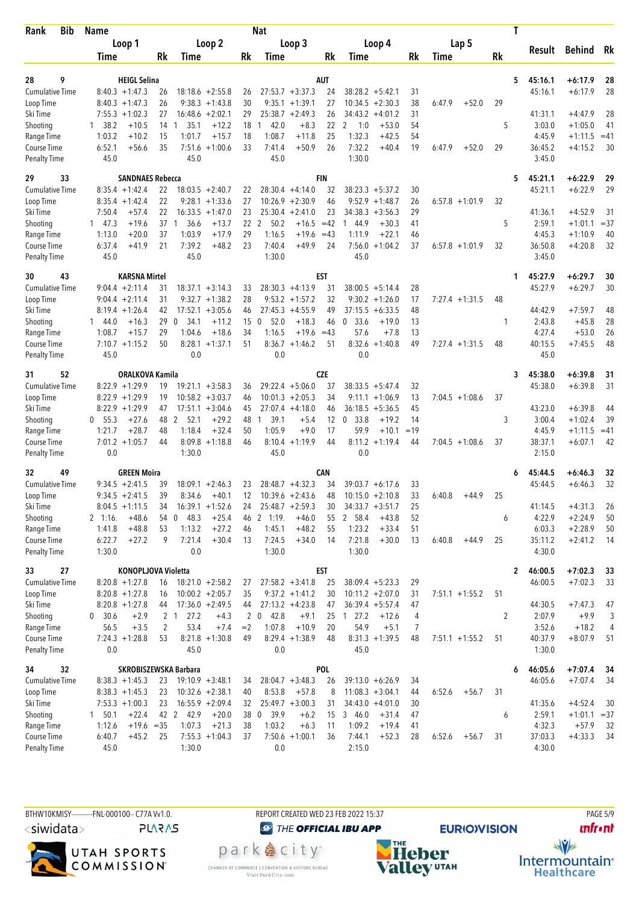| Bib<br>Rank                        | <b>Name</b>                             |                                                    |                                | Nat                                    |                                                          |           |                   | T         |                   |                        |             |
|------------------------------------|-----------------------------------------|----------------------------------------------------|--------------------------------|----------------------------------------|----------------------------------------------------------|-----------|-------------------|-----------|-------------------|------------------------|-------------|
|                                    | Loop 1                                  |                                                    | Loop 2                         | Loop 3                                 | Loop 4                                                   |           | Lap <sub>5</sub>  |           |                   | <b>Behind</b>          | Rk          |
|                                    | Time                                    | <b>Rk</b><br>Time                                  | Rk                             | Time                                   | Rk<br>Time                                               | <b>Rk</b> | Time              | <b>Rk</b> | Result            |                        |             |
|                                    |                                         |                                                    |                                |                                        |                                                          |           |                   |           |                   |                        |             |
| 9<br>28                            | <b>HEIGL Selina</b>                     |                                                    |                                | <b>AUT</b>                             |                                                          |           |                   | 5         | 45:16.1           | +6:17.9                | 28          |
| <b>Cumulative Time</b>             | $8:40.3 +1:47.3$                        | $18:18.6 + 2:55.8$<br>26                           | 26                             | $27:53.7 + 3:37.3$                     | 24<br>$38:28.2 + 5:42.1$                                 | 31        |                   |           | 45:16.1           | $+6:17.9$              | 28          |
| Loop Time                          | $8:40.3 +1:47.3$<br>$7:55.3 +1:02.3$    | 26<br>$9:38.3 +1:43.8$<br>27<br>$16:48.6 + 2:02.1$ | 30<br>29                       | $9:35.1 + 1:39.1$<br>$25:38.7 +2:49.3$ | 27<br>10:34.5<br>$+2:30.3$<br>26<br>34:43.2<br>$+4:01.2$ | 38<br>31  | 6:47.9<br>$+52.0$ | 29        | 41:31.1           | $+4:47.9$              | 28          |
| Ski Time                           |                                         |                                                    |                                | 42.0<br>1.                             |                                                          |           |                   |           |                   |                        |             |
| Shooting                           | 1, 38.2<br>$+10.5$<br>1:03.2<br>$+10.2$ | 35.1<br>14 1<br>15<br>1:01.7                       | $+12.2$<br>18<br>$+15.7$<br>18 | $+8.3$<br>1:08.7<br>$+11.8$            | 22<br>2<br>1:0<br>$+53.0$<br>25<br>1:32.3<br>$+42.5$     | 54        |                   | 5         | 3:03.0<br>4:45.9  | $+1:05.0$              | 41<br>$=41$ |
| Range Time<br>Course Time          | 6:52.1<br>$+56.6$                       | 35<br>7:51.6                                       | $+1:00.6$<br>33                | $+50.9$<br>7:41.4                      | 7:32.2<br>26<br>$+40.4$                                  | 54<br>19  | 6:47.9<br>$+52.0$ | 29        | 36:45.2           | $+1:11.5$<br>$+4:15.2$ | 30          |
| <b>Penalty Time</b>                | 45.0                                    | 45.0                                               |                                | 45.0                                   | 1:30.0                                                   |           |                   |           | 3:45.0            |                        |             |
| 33<br>29                           |                                         | <b>SANDNAES Rebecca</b>                            |                                | <b>FIN</b>                             |                                                          |           |                   | 5         | 45:21.1           | $+6:22.9$              | 29          |
| <b>Cumulative Time</b>             | $8:35.4 +1:42.4$                        | 22<br>$18:03.5 + 2:40.7$                           | 22                             | $28:30.4 +4:14.0$                      | 32<br>$38:23.3 + 5:37.2$                                 | 30        |                   |           | 45:21.1           | $+6:22.9$              | 29          |
| Loop Time                          | $8:35.4 +1:42.4$                        | 22<br>$9:28.1 + 1:33.6$                            | 27                             | $10:26.9 + 2:30.9$                     | 46<br>$9:52.9 +1:48.7$                                   | 26        | $6:57.8 +1:01.9$  | 32        |                   |                        |             |
| Ski Time                           | 7:50.4<br>$+57.4$                       | 22<br>$16:33.5 + 1:47.0$                           | 23                             | $25:30.4 +2:41.0$                      | 23<br>34:38.3<br>$+3:56.3$                               | 29        |                   |           | 41:36.1           | $+4:52.9$              | 31          |
| Shooting                           | 147.3<br>$+19.6$                        | 37<br>36.6<br>-1                                   | 22<br>$+13.7$                  | 2<br>50.2<br>$+16.5$                   | $=42$<br>$+30.3$<br>144.9                                | 41        |                   | 5         | 2:59.1            | $+1:01.1$              | $=37$       |
| Range Time                         | 1:13.0<br>$+20.0$                       | 37<br>1:03.9                                       | $+17.9$<br>29                  | 1:16.5<br>$+19.6$                      | 1:11.9<br>$+22.1$<br>$=43$                               | 46        |                   |           | 4:45.3            | $+1:10.9$              | 40          |
| Course Time                        | 6:37.4<br>$+41.9$                       | 21<br>7:39.2                                       | $+48.2$<br>23                  | 7:40.4<br>$+49.9$                      | 24<br>$7:56.0 +1:04.2$                                   | 37        | $6:57.8 +1:01.9$  | 32        | 36:50.8           | $+4:20.8$              | 32          |
| <b>Penalty Time</b>                | 45.0                                    | 45.0                                               |                                | 1:30.0                                 | 45.0                                                     |           |                   |           | 3:45.0            |                        |             |
| 43<br>30                           | <b>KARSNA Mirtel</b>                    |                                                    |                                | EST                                    |                                                          |           |                   | 1         | 45:27.9           | $+6:29.7$              | 30          |
| <b>Cumulative Time</b>             | $9:04.4 +2:11.4$                        | 31<br>$18:37.1 + 3:14.3$                           | 33                             | $28:30.3 +4:13.9$                      | 31<br>$38:00.5 + 5:14.4$                                 | 28        |                   |           | 45:27.9           | $+6:29.7$              | 30          |
| Loop Time                          | $9:04.4 +2:11.4$                        | 31<br>$9:32.7 +1:38.2$                             | 28                             | $9:53.2 +1:57.2$                       | 32<br>$9:30.2 +1:26.0$                                   | 17        | $7:27.4$ +1:31.5  | 48        |                   |                        |             |
| Ski Time                           | $8:19.4 + 1:26.4$                       | $17:52.1 + 3:05.6$<br>42                           | 46                             | $27:45.3 +4:55.9$                      | 49<br>37:15.5<br>$+6:33.5$                               | 48        |                   |           | 44:42.9           | $+7:59.7$              | 48          |
| Shooting                           | 144.0<br>$+16.3$                        | 29<br>$\mathbf{0}$<br>34.1                         | 15<br>$+11.2$                  | 52.0<br>$+18.3$<br>$\mathbf 0$         | $\mathbf 0$<br>33.6<br>$+19.0$<br>46                     | 13        |                   | 1         | 2:43.8            | $+45.8$                | 28          |
| Range Time                         | 1:08.7<br>$+15.7$                       | 1:04.6<br>29                                       | $+18.6$<br>34                  | 1:16.5<br>$+19.6$                      | 57.6<br>$+7.8$<br>$=43$                                  | 13        |                   |           | 4:27.4            | $+53.0$                | 26          |
| Course Time                        | $7:10.7 + 1:15.2$                       | 50<br>8:28.1                                       | $+1:37.1$<br>51                | $8:36.7 +1:46.2$                       | 8:32.6<br>$+1:40.8$<br>51                                | 49        | $7:27.4 +1:31.5$  | 48        | 40:15.5           | $+7:45.5$              | 48          |
| <b>Penalty Time</b>                | 45.0                                    | 0.0                                                |                                | 0.0                                    | 0.0                                                      |           |                   |           | 45.0              |                        |             |
| 52<br>31                           |                                         | ORALKOVA Kamila                                    |                                | <b>CZE</b>                             |                                                          |           |                   | 3         | 45:38.0           | $+6:39.8$              | 31          |
| <b>Cumulative Time</b>             | $8:22.9$ +1:29.9                        | $19:21.1 + 3:58.3$<br>19                           | 36                             | $29:22.4 + 5:06.0$                     | 37<br>$38:33.5 + 5:47.4$                                 | 32        |                   |           | 45:38.0           | $+6:39.8$              | 31          |
| Loop Time                          | $8:22.9$ +1:29.9                        | 19<br>$10:58.2 + 3:03.7$                           | 46                             | $10:01.3 + 2:05.3$                     | 34<br>9:11.1<br>$+1:06.9$                                | 13        | $7:04.5 +1:08.6$  | 37        |                   |                        |             |
| Ski Time                           | $8:22.9$ +1:29.9                        | $17:51.1 + 3:04.6$<br>47                           | 45                             | $27:07.4 +4:18.0$                      | 36:18.5<br>$+5:36.5$<br>46                               | 45        |                   |           | 43:23.0           | $+6:39.8$              | 44          |
| Shooting                           | $+27.6$<br>0, 55.3                      | 48<br>2<br>52.1                                    | $+29.2$<br>48                  | 39.1<br>$+5.4$<br>$\mathbf{1}$         | 12<br>0, 33.8<br>$+19.2$                                 | 14        |                   | 3         | 3:00.4            | $+1:02.4$              | 39          |
| Range Time                         | 1:21.7<br>$+28.7$                       | 48<br>1:18.4                                       | $+32.4$<br>50                  | 1:05.9<br>$+9.0$                       | 17<br>59.9<br>$+10.1$                                    | $=19$     |                   |           | 4:45.9            | $+1:11.5$              | $=41$       |
| Course Time                        | $7:01.2 +1:05.7$                        | 44<br>$8:09.8 +1:18.8$                             | 46                             | 8:10.4<br>$+1:19.9$                    | 44<br>$8:11.2 + 1:19.4$                                  | 44        | $7:04.5 +1:08.6$  | 37        | 38:37.1           | $+6:07.1$              | 42          |
| <b>Penalty Time</b>                | 0.0                                     | 1:30.0                                             |                                | 45.0                                   | 0.0                                                      |           |                   |           | 2:15.0            |                        |             |
| 32<br>49                           | <b>GREEN Moira</b>                      |                                                    |                                | <b>CAN</b>                             |                                                          |           |                   |           | 45:44.5           | +6:46.3                | 32          |
| <b>Cumulative Time</b>             | $9:34.5 +2:41.5$                        | 39<br>$18:09.1 + 2:46.3$                           | 23                             | $28:48.7 + 4:32.3$                     | 34<br>$39:03.7 + 6:17.6$                                 | 33        |                   |           | 45:44.5           | $+6:46.3$              | 32          |
| Loop Time                          | $9:34.5 +2:41.5$                        | 39<br>8:34.6                                       | $+40.1$<br>12                  | $10:39.6 + 2:43.6$                     | 48<br>$10:15.0 + 2:10.8$                                 | 33        | 6:40.8<br>$+44.9$ | 25        |                   |                        |             |
| Ski Time                           | $8:04.5 +1:11.5$                        | $16:39.1 + 1:52.6$<br>34                           | 24                             | $25:48.7 + 2:59.3$                     | 30<br>$34:33.7 + 3:51.7$                                 | 25        |                   |           | 41:14.5           | $+4:31.3$              | 26          |
| Shooting                           | $+48.6$<br>2 1:16.                      | 54 0 48.3                                          | $+25.4$                        | 46 2 1:19.<br>$+46.0$                  | 2 58.4<br>$+43.8$<br>55                                  | 52        |                   | 6         | 4:22.9            | $+2:24.9$              | 50          |
| Range Time                         | $+48.8$<br>1:41.8                       | 53<br>1:13.2                                       | $+27.2$<br>46                  | $+48.2$<br>1:45.1                      | 1:23.2<br>$+33.4$<br>55                                  | 51        |                   |           | 6:03.3            | $+2:28.9$              | 50          |
| Course Time<br><b>Penalty Time</b> | 6:22.7<br>$+27.2$<br>1:30.0             | 9<br>7:21.4<br>0.0                                 | $+30.4$<br>13                  | 7:24.5<br>$+34.0$<br>1:30.0            | 7:21.8<br>$+30.0$<br>14<br>1:30.0                        | 13        | 6:40.8<br>$+44.9$ | 25        | 35:11.2<br>4:30.0 | $+2:41.2$              | 14          |
| 27<br>33                           |                                         | KONOPLJOVA Violetta                                |                                | <b>EST</b>                             |                                                          |           |                   | 2         | 46:00.5           | $+7:02.3$              | 33          |
| <b>Cumulative Time</b>             | $8:20.8 +1:27.8$                        | $18:21.0 + 2:58.2$<br>16                           | 27                             | $27:58.2 + 3:41.8$                     | 25<br>$38:09.4 + 5:23.3$                                 | 29        |                   |           | 46:00.5           | $+7:02.3$              | 33          |
| Loop Time                          | $8:20.8 + 1:27.8$                       | $10:00.2 + 2:05.7$<br>16                           | 35                             | $9:37.2 +1:41.2$                       | 30<br>$10:11.2 + 2:07.0$                                 | 31        | $7:51.1 + 1:55.2$ | 51        |                   |                        |             |
| Ski Time                           | $8:20.8 +1:27.8$                        | $17:36.0 + 2:49.5$<br>44                           | 44                             | $27:13.2 +4:23.8$                      | $36:39.4 + 5:57.4$<br>47                                 | 47        |                   |           | 44:30.5           | $+7:47.3$              | 47          |
| Shooting                           | 30.6<br>$+2.9$<br>0                     | 2 <sub>1</sub><br>27.2                             | $2\quad 0$<br>$+4.3$           | 42.8<br>$+9.1$                         | $1 \t27.2$<br>25<br>$+12.6$                              | 4         |                   | 2         | 2:07.9            | $+9.9$                 | 3           |
| Range Time                         | 56.5<br>$+3.5$                          | $\overline{2}$<br>53.4                             | $+7.4$<br>$=2$                 | 1:07.8<br>$+10.9$                      | 54.9<br>$+5.1$<br>20                                     | 7         |                   |           | 3:52.6            | $+18.2$                | 4           |
| Course Time                        | $7:24.3 +1:28.8$                        | 53<br>$8:21.8 +1:30.8$                             | 49                             | $8:29.4 +1:38.9$                       | $8:31.3 +1:39.5$<br>48                                   | 48        | $7:51.1 + 1:55.2$ | 51        | 40:37.9           | $+8:07.9$              | 51          |
| <b>Penalty Time</b>                | 0.0                                     | 45.0                                               |                                | 0.0                                    | 45.0                                                     |           |                   |           | 1:30.0            |                        |             |
| 32<br>34                           |                                         | SKROBISZEWSKA Barbara                              |                                | POL                                    |                                                          |           |                   | 6         | 46:05.6           | $+7:07.4$              | -34         |
| Cumulative Time                    | $8:38.3 +1:45.3$                        | 23<br>$19:10.9 + 3:48.1$                           | 34                             | $28:04.7 + 3:48.3$                     | 26<br>$39:13.0 + 6:26.9$                                 | 34        |                   |           | 46:05.6           | $+7:07.4$              | 34          |
| Loop Time                          | $8:38.3 +1:45.3$                        | 23<br>$10:32.6 + 2:38.1$                           | 40                             | 8:53.8<br>$+57.8$                      | $11:08.3 + 3:04.1$<br>8                                  | 44        | 6:52.6<br>$+56.7$ | 31        |                   |                        |             |
| Ski Time                           | $7:53.3 +1:00.3$                        | 23<br>$16:55.9 + 2:09.4$                           | 32                             | $25:49.7 + 3:00.3$                     | 31<br>$34:43.0 +4:01.0$                                  | 30        |                   |           | 41:35.6           | $+4:52.4$              | 30          |
| Shooting                           | 1 50.1<br>$+22.4$                       | 42 2 42.9                                          | $+20.0$<br>38 0                | 39.9<br>$+6.2$                         | 346.0<br>$+31.4$<br>15                                   | 47        |                   | 6         | 2:59.1            | $+1:01.1 = 37$         |             |
| Range Time                         | 1:12.6<br>$+19.6 = 35$                  | 1:07.3                                             | $+21.3$<br>38                  | 1:03.2<br>$+6.3$                       | 1:09.2<br>$+19.4$<br>11                                  | 41        |                   |           | 4:32.3            | $+57.9$                | 32          |
| Course Time                        | 6:40.7<br>$+45.2$                       | $7:55.3 +1:04.3$<br>25                             | 37                             | $7:50.6 + 1:00.1$                      | 7:44.1<br>$+52.3$<br>36                                  | 28        | 6:52.6<br>$+56.7$ | 31        | 37:03.3           | $+4:33.3$              | 34          |
| <b>Penalty Time</b>                | 45.0                                    | 1:30.0                                             |                                | 0.0                                    | 2:15.0                                                   |           |                   |           | 4:30.0            |                        |             |

BTHW10KMISY----------FNL-000100-- C77A Vv1.0. REPORT CREATED WED 23 FEB 2022 15:37 PAGE 5/9  $\langle$ siwidata $\rangle$ **PLARAS** 



**O THE OFFICIAL IBU APP** 

**NHE**<br>Valley<sup>utAH</sup>

**unfront** 



park e city<sup>®</sup> CHAMBER OF COMMERCE | CONVENTION & VISITORS BUREAU<br>Visit Park City.com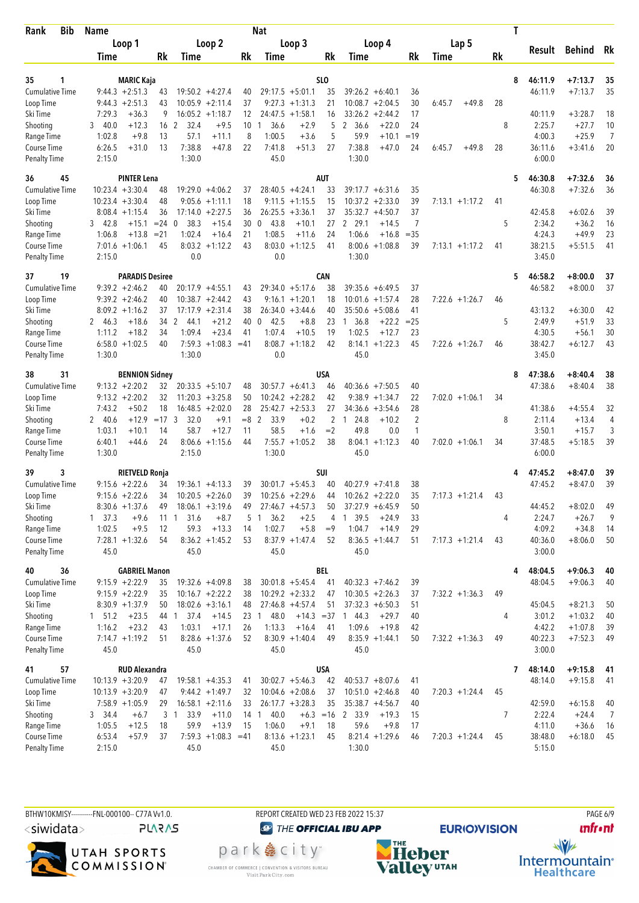| <b>Bib</b><br>Rank        | <b>Name</b>                            |                 |                                         |            | Nat                                       |            |                                                       |                      |                   | T         |                   |                      |                |
|---------------------------|----------------------------------------|-----------------|-----------------------------------------|------------|-------------------------------------------|------------|-------------------------------------------------------|----------------------|-------------------|-----------|-------------------|----------------------|----------------|
|                           | Loop 1                                 |                 | Loop 2                                  |            | Loop 3                                    |            | Loop 4                                                |                      | Lap 5             |           |                   |                      |                |
|                           | Time                                   | Rk              | Time                                    | Rk         | Time                                      | Rk         | Time                                                  | Rk                   | Time              | <b>Rk</b> | Result            | Behind               | Rk             |
|                           |                                        |                 |                                         |            |                                           |            |                                                       |                      |                   |           |                   |                      |                |
| 1<br>35                   | <b>MARIC Kaja</b>                      |                 |                                         |            |                                           | SLO        |                                                       |                      |                   | 8         | 46:11.9           | $+7:13.7$            | 35             |
| <b>Cumulative Time</b>    | $9:44.3 + 2:51.3$                      | 43              | $19:50.2 + 4:27.4$                      | 40         | $29:17.5 + 5:01.1$                        | 35         | $39:26.2 + 6:40.1$                                    | 36                   |                   |           | 46:11.9           | $+7:13.7$            | 35             |
| Loop Time<br>Ski Time     | $9:44.3 + 2:51.3$<br>7:29.3<br>$+36.3$ | 43<br>9         | $10:05.9 + 2:11.4$<br>$16:05.2 +1:18.7$ | 37<br>12   | $9:27.3 +1:31.3$<br>$24:47.5 +1:58.1$     | 21<br>16   | $10:08.7 + 2:04.5$<br>33:26.2<br>$+2:44.2$            | 30<br>17             | 6:45.7<br>$+49.8$ | 28        | 40:11.9           | $+3:28.7$            | 18             |
| Shooting                  | 40.0<br>$+12.3$<br>3                   | 16 <sub>2</sub> | 32.4<br>$+9.5$                          | 10         | 36.6<br>$+2.9$<br>1                       | 5          | 2 36.6<br>$+22.0$                                     | 24                   |                   | 8         | 2:25.7            | $+27.7$              | 10             |
| Range Time                | $+9.8$<br>1:02.8                       | 13              | 57.1<br>$+11.1$                         | 8          | 1:00.5<br>$+3.6$                          | 5          | 59.9<br>$+10.1$                                       | $=19$                |                   |           | 4:00.3            | $+25.9$              | $\overline{7}$ |
| Course Time               | 6:26.5<br>$+31.0$                      | 13              | 7:38.8<br>$+47.8$                       | 22         | 7:41.8<br>$+51.3$                         | 27         | 7:38.8<br>$+47.0$                                     | 24                   | 6:45.7<br>$+49.8$ | 28        | 36:11.6           | $+3:41.6$            | 20             |
| <b>Penalty Time</b>       | 2:15.0                                 |                 | 1:30.0                                  |            | 45.0                                      |            | 1:30.0                                                |                      |                   |           | 6:00.0            |                      |                |
| 36<br>45                  | <b>PINTER Lena</b>                     |                 |                                         |            |                                           | <b>AUT</b> |                                                       |                      |                   | 5         | 46:30.8           | $+7:32.6$            | 36             |
| <b>Cumulative Time</b>    | $10:23.4 +3:30.4$                      | 48              | $19:29.0 +4:06.2$                       | 37         | $28:40.5 +4:24.1$                         | 33         | $39:17.7 + 6:31.6$                                    | 35                   |                   |           | 46:30.8           | $+7:32.6$            | 36             |
| Loop Time                 | $10:23.4 + 3:30.4$                     | 48              | $9:05.6 +1:11.1$                        | 18         | $9:11.5 +1:15.5$                          | 15         | $10:37.2 +2:33.0$                                     | 39                   | $7:13.1 + 1:17.2$ | 41        |                   |                      |                |
| Ski Time                  | $8:08.4 +1:15.4$                       | 36              | $+2:27.5$<br>17:14.0                    | 36         | $26:25.5 + 3:36.1$                        | 37         | $35:32.7 + 4:50.7$                                    | 37                   |                   |           | 42:45.8           | $+6:02.6$            | 39             |
| Shooting                  | $+15.1$<br>3 42.8                      | $= 24 \ 0$      | 38.3<br>$+15.4$                         | 30         | 43.8<br>$+10.1$<br>$\mathbf{0}$           | 27         | 2 29.1<br>$+14.5$                                     | 7                    |                   | 5         | 2:34.2            | $+36.2$              | 16             |
| Range Time                | 1:06.8<br>$+13.8$                      | $= 21$          | 1:02.4<br>$+16.4$                       | 21         | 1:08.5<br>$+11.6$                         | 24         | 1:06.6<br>$+16.8$                                     | $=35$                |                   |           | 4:24.3            | $+49.9$              | 23             |
| Course Time               | $7:01.6 +1:06.1$                       | 45              | $8:03.2 +1:12.2$                        | 43         | 8:03.0<br>$+1:12.5$                       | 41         | $8:00.6 + 1:08.8$                                     | 39                   | $7:13.1 + 1:17.2$ | 41        | 38:21.5           | $+5:51.5$            | 41             |
| <b>Penalty Time</b>       | 2:15.0                                 |                 | 0.0                                     |            | 0.0                                       |            | 1:30.0                                                |                      |                   |           | 3:45.0            |                      |                |
| 19<br>37                  | <b>PARADIS Desiree</b>                 |                 |                                         |            |                                           | <b>CAN</b> |                                                       |                      |                   | 5         | 46:58.2           | $+8:00.0$            | 37             |
| <b>Cumulative Time</b>    | $9:39.2 +2:46.2$                       | 40              | $20:17.9 +4:55.1$                       | 43         | $29:34.0 + 5:17.6$                        | 38         | $39:35.6 + 6:49.5$                                    | 37                   |                   |           | 46:58.2           | $+8:00.0$            | 37             |
| Loop Time                 | $9:39.2 +2:46.2$                       | 40              | $10:38.7 + 2:44.2$                      | 43         | $9:16.1 + 1:20.1$                         | 18         | $10:01.6 + 1:57.4$                                    | 28                   | $7:22.6$ +1:26.7  | 46        |                   |                      |                |
| Ski Time                  | $8:09.2 +1:16.2$                       | 37              | $17:17.9 + 2:31.4$                      | 38         | $26:34.0 + 3:44.6$                        | 40         | $35:50.6 + 5:08.6$                                    | 41                   |                   |           | 43:13.2           | $+6:30.0$            | 42             |
| Shooting                  | 2, 46.3<br>$+18.6$                     | 34<br>2         | $+21.2$<br>44.1                         | 40         | 42.5<br>$+8.8$<br>$\mathbf{0}$            | 23         | 1, 36.8<br>$+22.2$                                    | $= 25$               |                   | 5         | 2:49.9            | $+51.9$              | 33             |
| Range Time                | 1:11.2<br>$+18.2$                      | 34              | $+23.4$<br>1:09.4                       | 41         | 1:07.4<br>$+10.5$                         | 19         | 1:02.5<br>$+12.7$                                     | 23                   |                   |           | 4:30.5            | $+56.1$              | 30             |
| Course Time               | $6:58.0 + 1:02.5$                      | 40              | $7:59.3 +1:08.3 = 41$<br>1:30.0         |            | $8:08.7 +1:18.2$<br>0.0                   | 42         | $8:14.1 + 1:22.3$<br>45.0                             | 45                   | $7:22.6$ +1:26.7  | 46        | 38:42.7<br>3:45.0 | $+6:12.7$            | 43             |
| <b>Penalty Time</b>       | 1:30.0                                 |                 |                                         |            |                                           |            |                                                       |                      |                   |           |                   |                      |                |
| 38<br>31                  | <b>BENNION Sidney</b>                  |                 |                                         |            |                                           | USA        |                                                       |                      |                   | 8         | 47:38.6           | $+8:40.4$            | 38             |
| <b>Cumulative Time</b>    | $9:13.2 + 2:20.2$                      | 32              | $20:33.5 + 5:10.7$                      | 48         | $30:57.7 + 6:41.3$                        | 46         | $40:36.6 + 7:50.5$                                    | 40                   |                   |           | 47:38.6           | $+8:40.4$            | 38             |
| Loop Time                 | $9:13.2 + 2:20.2$                      | 32              | $11:20.3 + 3:25.8$                      | 50         | $10:24.2 + 2:28.2$                        | 42         | $9:38.9 +1:34.7$                                      | 22                   | $7:02.0 +1:06.1$  | 34        |                   |                      |                |
| Ski Time<br>Shooting      | $+50.2$<br>7:43.2<br>$+12.9$<br>2 40.6 | 18<br>$= 17.3$  | $16:48.5 + 2:02.0$<br>32.0<br>$+9.1$    | 28<br>$=8$ | $25:42.7 + 2:53.3$<br>2<br>33.9<br>$+0.2$ | 27<br>2    | $34:36.6 + 3:54.6$<br>24.8<br>$+10.2$<br>$\mathbf{1}$ | 28<br>$\overline{2}$ |                   | 8         | 41:38.6<br>2:11.4 | $+4:55.4$<br>$+13.4$ | 32<br>4        |
| Range Time                | 1:03.1<br>$+10.1$                      | 14              | 58.7<br>$+12.7$                         | 11         | 58.5<br>$+1.6$                            | $=2$       | 49.8<br>0.0                                           | $\mathbf{1}$         |                   |           | 3:50.1            | $+15.7$              | 3              |
| Course Time               | 6:40.1<br>$+44.6$                      | 24              | $+1:15.6$<br>8:06.6                     | 44         | $7:55.7 + 1:05.2$                         | 38         | $8:04.1 + 1:12.3$                                     | 40                   | $7:02.0 +1:06.1$  | 34        | 37:48.5           | $+5:18.5$            | 39             |
| <b>Penalty Time</b>       | 1:30.0                                 |                 | 2:15.0                                  |            | 1:30.0                                    |            | 45.0                                                  |                      |                   |           | 6:00.0            |                      |                |
| 39<br>3                   | <b>RIETVELD Ronja</b>                  |                 |                                         |            |                                           | <b>SUI</b> |                                                       |                      |                   |           | 47:45.2           | $+8:47.0$            | 39             |
| <b>Cumulative Time</b>    | $9:15.6 + 2:22.6$                      | 34              | $19:36.1 + 4:13.3$                      | 39         | $30:01.7 + 5:45.3$                        | 40         | $40:27.9$ +7:41.8                                     | 38                   |                   |           | 47:45.2           | $+8:47.0$            | 39             |
| Loop Time                 | $9:15.6 + 2:22.6$                      | 34              | $10:20.5 +2:26.0$                       | 39         | $10:25.6 + 2:29.6$                        | 44         | $10:26.2 + 2:22.0$                                    | 35                   | $7:17.3 +1:21.4$  | 43        |                   |                      |                |
| Ski Time                  | $8:30.6 +1:37.6$                       | 49              | $18:06.1 + 3:19.6$                      | 49         | $27:46.7 + 4:57.3$                        | 50         | $37:27.9 + 6:45.9$                                    | 50                   |                   |           | 44:45.2           | $+8:02.0$            | 49             |
| Shooting                  | $1 \quad 37.3$<br>$+9.6$               | $11 \quad 1$    | 31.6<br>$+8.7$                          | 5          | 36.2<br>$+2.5$<br>$\mathbf{1}$            | 4          | 1 39.5<br>$+24.9$                                     | 33                   |                   | 4         | 2:24.7            | $+26.7$              | 9              |
| Range Time                | 1:02.5<br>$+9.5$                       | 12              | 59.3<br>$+13.3$                         | 14         | 1:02.7<br>$+5.8$                          | $=9$       | 1:04.7<br>$+14.9$                                     | 29                   |                   |           | 4:09.2            | $+34.8$              | 14             |
| Course Time               | $7:28.1 + 1:32.6$                      | 54              | $8:36.2 +1:45.2$                        | 53         | $8:37.9 +1:47.4$                          | 52         | $8:36.5 +1:44.7$                                      | 51                   | $7:17.3 +1:21.4$  | 43        | 40:36.0           | $+8:06.0$            | 50             |
| <b>Penalty Time</b>       | 45.0                                   |                 | 45.0                                    |            | 45.0                                      |            | 45.0                                                  |                      |                   |           | 3:00.0            |                      |                |
| 40<br>36                  | <b>GABRIEL Manon</b>                   |                 |                                         |            |                                           | <b>BEL</b> |                                                       |                      |                   |           | 48:04.5           | $+9:06.3$            | 40             |
| Cumulative Time           | $9:15.9 +2:22.9$                       | 35              | $19:32.6 +4:09.8$                       | 38         | $30:01.8 + 5:45.4$                        | 41         | $40:32.3 +7:46.2$                                     | 39                   |                   |           | 48:04.5           | $+9:06.3$            | 40             |
| Loop Time                 | $9:15.9 +2:22.9$                       | 35              | $10:16.7 + 2:22.2$                      | 38         | $10:29.2 + 2:33.2$                        | 47         | $10:30.5 + 2:26.3$                                    | 37                   | $7:32.2 +1:36.3$  | 49        |                   |                      |                |
| Ski Time                  | $8:30.9 +1:37.9$                       | 50              | $18:02.6 + 3:16.1$                      | 48         | $27:46.8 + 4:57.4$                        | 51         | $37:32.3 + 6:50.3$                                    | 51                   |                   |           | 45:04.5           | $+8:21.3$            | 50             |
| Shooting                  | $+23.5$<br>1 51.2                      | 44 1            | 37.4<br>$+14.5$                         | 23         | 48.0<br>$\overline{1}$                    |            | $+14.3 = 37$ 1 44.3<br>$+29.7$                        | 40                   |                   | 4         | 3:01.2            | $+1:03.2$            | 40             |
| Range Time<br>Course Time | 1:16.2<br>$+23.2$<br>$7:14.7 +1:19.2$  | 43              | 1:03.1<br>$+17.1$                       | 26<br>52   | 1:13.3<br>$+16.4$<br>$8:30.9 +1:40.4$     | 41<br>49   | 1:09.6<br>$+19.8$<br>$8:35.9 +1:44.1$                 | 42                   |                   | 49        | 4:42.2<br>40:22.3 | $+1:07.8$            | 39<br>49       |
| <b>Penalty Time</b>       | 45.0                                   | 51              | $8:28.6 +1:37.6$<br>45.0                |            | 45.0                                      |            | 45.0                                                  | 50                   | $7:32.2 +1:36.3$  |           | 3:00.0            | $+7:52.3$            |                |
| 41<br>57                  | <b>RUD Alexandra</b>                   |                 |                                         |            |                                           | <b>USA</b> |                                                       |                      |                   | 7         | 48:14.0           | $+9:15.8$            | 41             |
| <b>Cumulative Time</b>    | $10:13.9 + 3:20.9$                     | 47              | $19:58.1 + 4:35.3$                      | 41         | $30:02.7 + 5:46.3$                        | 42         | $40:53.7 + 8:07.6$                                    | 41                   |                   |           | 48:14.0           | $+9:15.8$            | 41             |
| Loop Time                 | $10:13.9 + 3:20.9$                     | 47              | $9:44.2 +1:49.7$                        | 32         | $10:04.6 + 2:08.6$                        | 37         | $10:51.0 + 2:46.8$                                    | 40                   | $7:20.3 +1:24.4$  | 45        |                   |                      |                |
| Ski Time                  | $7:58.9 +1:05.9$                       | 29              | $16:58.1 + 2:11.6$                      | 33         | $26:17.7 + 3:28.3$                        | 35         | $35:38.7 +4:56.7$                                     | 40                   |                   |           | 42:59.0           | $+6:15.8$            | 40             |
| Shooting                  | 3 34.4<br>$+6.7$                       | 3 1             | 33.9<br>$+11.0$                         |            | $+6.3 = 16$<br>14 1<br>40.0               |            | 2 33.9<br>$+19.3$                                     | 15                   |                   | 7         | 2:22.4            | $+24.4$              | $\overline{7}$ |
| Range Time                | 1:05.5<br>$+12.5$                      | 18              | 59.9<br>$+13.9$                         | 15         | 1:06.0<br>$+9.1$                          | 18         | 59.6<br>$+9.8$                                        | 17                   |                   |           | 4:11.0            | $+36.6$              | 16             |
| Course Time               | 6:53.4<br>$+57.9$                      | 37              | $7:59.3 +1:08.3 = 41$                   |            | $8:13.6 + 1:23.1$                         | 45         | $8:21.4 +1:29.6$                                      | 46                   | $7:20.3 +1:24.4$  | 45        | 38:48.0           | $+6:18.0$            | 45             |
| <b>Penalty Time</b>       | 2:15.0                                 |                 | 45.0                                    |            | 45.0                                      |            | 1:30.0                                                |                      |                   |           | 5:15.0            |                      |                |

BTHW10KMISY----------FNL-000100-- C77A Vv1.0. <siwidata> **PLARAS** 

UTAH SPORTS<br>COMMISSION

REPORT CREATED WED 23 FEB 2022 15:37 **O THE OFFICIAL IBU APP** 

park e city<sup>®</sup>

CHAMBER OF COMMERCE | CONVENTION & VISITORS BUREAU<br>Visit Park City.com



**EURIO)VISION** 

**PAGE 6/9 unfront**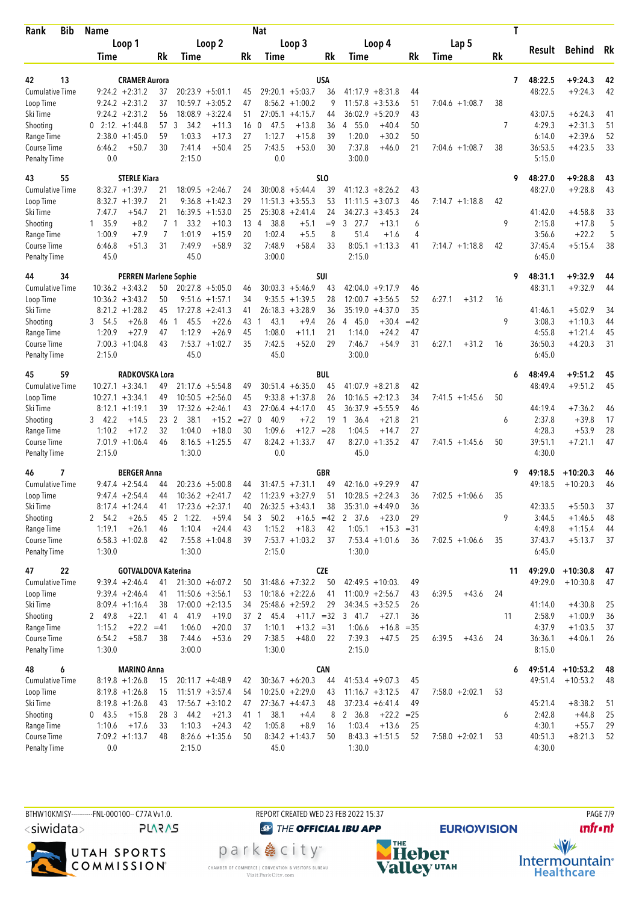| Bib<br>Rank                 | <b>Name</b>                              |                                                      |                                    | <b>Nat</b>                                         |              |                                                        |          |                   | T  |                   |                    |          |
|-----------------------------|------------------------------------------|------------------------------------------------------|------------------------------------|----------------------------------------------------|--------------|--------------------------------------------------------|----------|-------------------|----|-------------------|--------------------|----------|
|                             | Loop 1                                   |                                                      | Loop 2                             | Loop 3                                             |              | Loop 4                                                 |          | Lap 5             |    |                   |                    |          |
|                             | Time                                     | Rk<br>Time                                           | Rk                                 | Time                                               | Rk           | Time                                                   | Rk       | Time              | Rk | Result            | <b>Behind</b>      | Rk       |
|                             |                                          |                                                      |                                    |                                                    |              |                                                        |          |                   |    |                   |                    |          |
| 42<br>13                    | <b>CRAMER Aurora</b>                     |                                                      |                                    |                                                    | <b>USA</b>   |                                                        |          |                   | 7  | 48:22.5           | $+9:24.3$          | 42       |
| <b>Cumulative Time</b>      | $9:24.2 +2:31.2$                         | 37<br>$20:23.9 + 5:01.1$                             | 45                                 | $29:20.1 + 5:03.7$                                 | 36           | $41:17.9 + 8:31.8$                                     | 44       |                   |    | 48:22.5           | $+9:24.3$          | 42       |
| Loop Time<br>Ski Time       | $9:24.2 +2:31.2$<br>$9:24.2 +2:31.2$     | 37<br>$10:59.7 + 3:05.2$<br>$18:08.9 + 3:22.4$<br>56 | 47<br>51                           | $8:56.2 +1:00.2$<br>$27:05.1 +4:15.7$              | 9<br>44      | 11:57.8<br>$+3:53.6$<br>36:02.9<br>$+5:20.9$           | 51<br>43 | $7:04.6 +1:08.7$  | 38 | 43:07.5           | $+6:24.3$          | 41       |
| Shooting                    | $0$ 2:12 $+1:44.8$                       | 34.2<br>57 3                                         | $+11.3$<br>16                      | $\mathbf{0}$<br>47.5<br>$+13.8$                    | 36           | 4 55.0<br>$+40.4$                                      | 50       |                   | 7  | 4:29.3            | $+2:31.3$          | 51       |
| Range Time                  | $2:38.0 + 1:45.0$                        | 59<br>1:03.3                                         | $+17.3$<br>27                      | 1:12.7<br>$+15.8$                                  | 39           | 1:20.0<br>$+30.2$                                      | 50       |                   |    | 6:14.0            | $+2:39.6$          | 52       |
| Course Time                 | 6:46.2<br>$+50.7$                        | 30<br>7:41.4                                         | $+50.4$<br>25                      | 7:43.5<br>$+53.0$                                  | 30           | 7:37.8<br>$+46.0$                                      | 21       | $7:04.6 +1:08.7$  | 38 | 36:53.5           | $+4:23.5$          | 33       |
| <b>Penalty Time</b>         | 0.0                                      | 2:15.0                                               |                                    | 0.0                                                |              | 3:00.0                                                 |          |                   |    | 5:15.0            |                    |          |
| 43<br>55                    | <b>STERLE Kiara</b>                      |                                                      |                                    |                                                    | SLO          |                                                        |          |                   | 9  | 48:27.0           | $+9:28.8$          | 43       |
| <b>Cumulative Time</b>      | $8:32.7 +1:39.7$                         | 21<br>$18:09.5 + 2:46.7$                             | 24                                 | $30:00.8 + 5:44.4$                                 | 39           | $41:12.3 + 8:26.2$                                     | 43       |                   |    | 48:27.0           | $+9:28.8$          | 43       |
| Loop Time                   | $8:32.7 +1:39.7$                         | 21                                                   | $9:36.8 +1:42.3$<br>29             | $11:51.3 + 3:55.3$                                 | 53           | 11:11.5<br>$+3:07.3$                                   | 46       | $7:14.7 +1:18.8$  | 42 |                   |                    |          |
| Ski Time                    | 7:47.7<br>$+54.7$                        | 21<br>$16:39.5 + 1:53.0$                             | 25                                 | $25:30.8 + 2:41.4$                                 | 24           | 34:27.3<br>$+3:45.3$                                   | 24       |                   |    | 41:42.0           | $+4:58.8$          | 33       |
| Shooting                    | 1 35.9<br>$+8.2$                         | 7 <sub>1</sub><br>33.2                               | $+10.3$<br>13                      | 38.8<br>$+5.1$<br>4                                | $=9$         | 3 27.7<br>$+13.1$                                      | 6        |                   | 9  | 2:15.8            | $+17.8$            | 5        |
| Range Time                  | 1:00.9<br>$+7.9$                         | 7<br>1:01.9                                          | 20<br>$+15.9$                      | 1:02.4<br>$+5.5$                                   | 8            | 51.4<br>$+1.6$                                         | 4        |                   |    | 3:56.6            | $+22.2$            | 5        |
| Course Time                 | 6:46.8<br>$+51.3$                        | 31<br>7:49.9                                         | $+58.9$<br>32                      | 7:48.9<br>$+58.4$                                  | 33           | $8:05.1 + 1:13.3$                                      | 41       | $7:14.7 +1:18.8$  | 42 | 37:45.4           | $+5:15.4$          | 38       |
| <b>Penalty Time</b>         | 45.0                                     | 45.0                                                 |                                    | 3:00.0                                             |              | 2:15.0                                                 |          |                   |    | 6:45.0            |                    |          |
| 34<br>44                    |                                          | <b>PERREN Marlene Sophie</b>                         |                                    |                                                    | SUI          |                                                        |          |                   | 9  | 48:31.1           | $+9:32.9$          | 44       |
| <b>Cumulative Time</b>      | $10:36.2 + 3:43.2$                       | 50<br>$20:27.8 + 5:05.0$                             | 46                                 | $30:03.3 +5:46.9$                                  | 43           | $42:04.0 +9:17.9$                                      | 46       |                   |    | 48:31.1           | $+9:32.9$          | 44       |
| Loop Time                   | $10:36.2 + 3:43.2$                       | 50                                                   | $9:51.6 + 1:57.1$<br>34            | $9:35.5 +1:39.5$                                   | 28           | $12:00.7 + 3:56.5$                                     | 52       | 6:27.1<br>$+31.2$ | 16 |                   |                    |          |
| Ski Time                    | $8:21.2 +1:28.2$                         | $17:27.8 + 2:41.3$<br>45                             | 41                                 | $26:18.3 + 3:28.9$                                 | 36           | 35:19.0<br>$+4:37.0$                                   | 35       |                   |    | 41:46.1           | $+5:02.9$          | 34       |
| Shooting                    | 3, 54.5<br>$+26.8$                       | 46<br>45.5<br>1                                      | $+22.6$<br>43                      | 43.1<br>$+9.4$<br>1                                | 26           | 4 45.0<br>$+30.4$                                      | $=42$    |                   | 9  | 3:08.3            | $+1:10.3$          | 44       |
| Range Time                  | $+27.9$<br>1:20.9                        | 1:12.9<br>47                                         | $+26.9$<br>45                      | 1:08.0<br>$+11.1$                                  | 21           | 1:14.0<br>$+24.2$                                      | 47       |                   |    | 4:55.8            | $+1:21.4$          | 45       |
| Course Time                 | $7:00.3 +1:04.8$                         | 43                                                   | $7:53.7 +1:02.7$<br>35             | 7:42.5<br>$+52.0$                                  | 29           | 7:46.7<br>$+54.9$                                      | 31       | 6:27.1<br>$+31.2$ | 16 | 36:50.3           | $+4:20.3$          | 31       |
| <b>Penalty Time</b>         | 2:15.0                                   | 45.0                                                 |                                    | 45.0                                               |              | 3:00.0                                                 |          |                   |    | 6:45.0            |                    |          |
| 45<br>59                    | RADKOVSKA Lora                           |                                                      |                                    |                                                    | BUL          |                                                        |          |                   | 6  | 48:49.4           | $+9:51.2$          | 45       |
| <b>Cumulative Time</b>      | $10:27.1 + 3:34.1$                       | $21:17.6 + 5:54.8$<br>49                             | 49                                 | $30:51.4 + 6:35.0$                                 | 45           | $41:07.9 + 8:21.8$                                     | 42       |                   |    | 48:49.4           | $+9:51.2$          | 45       |
| Loop Time                   | $10:27.1 + 3:34.1$                       | 49<br>$10:50.5 + 2:56.0$                             | 45                                 | $9:33.8 + 1:37.8$                                  | 26           | 10:16.5<br>$+2:12.3$                                   | 34       | $7:41.5 +1:45.6$  | 50 |                   |                    |          |
| Ski Time                    | $8:12.1 +1:19.1$                         | $17:32.6 + 2:46.1$<br>39                             | 43                                 | $27:06.4 +4:17.0$                                  | 45           | $36:37.9 + 5:55.9$                                     | 46       |                   |    | 44:19.4           | $+7:36.2$          | 46       |
| Shooting                    | 3, 42.2<br>$+14.5$<br>1:10.2<br>$+17.2$  | 23<br>2<br>38.1<br>32<br>1:04.0                      | $+15.2$<br>$= 27$<br>$+18.0$<br>30 | $\mathbf 0$<br>40.9<br>$+7.2$<br>1:09.6<br>$+12.7$ | 19<br>$= 28$ | - 36.4<br>$+21.8$<br>$\mathbf{1}$<br>1:04.5<br>$+14.7$ | 21<br>27 |                   | 6  | 2:37.8<br>4:28.3  | $+39.8$<br>$+53.9$ | 17<br>28 |
| Range Time<br>Course Time   | $7:01.9 +1:06.4$                         | 46                                                   | $8:16.5 +1:25.5$<br>47             | $8:24.2 +1:33.7$                                   | 47           | $8:27.0 + 1:35.2$                                      | 47       | $7:41.5 + 1:45.6$ | 50 | 39:51.1           | $+7:21.1$          | 47       |
| <b>Penalty Time</b>         | 2:15.0                                   | 1:30.0                                               |                                    | 0.0                                                |              | 45.0                                                   |          |                   |    | 4:30.0            |                    |          |
| 46<br>7                     | <b>BERGER Anna</b>                       |                                                      |                                    |                                                    | <b>GBR</b>   |                                                        |          |                   | 9  | 49:18.5           | $+10:20.3$         | 46       |
| Cumulative Time             | $9:47.4 + 2:54.4$                        | $20:23.6 + 5:00.8$<br>44                             | 44                                 | $31:47.5 +7:31.1$                                  | 49           | $42:16.0 +9:29.9$                                      | 47       |                   |    | 49:18.5           | $+10:20.3$         | 46       |
| Loop Time                   | $9:47.4 + 2:54.4$                        | $10:36.2 +2:41.7$<br>44                              | 42                                 | $11:23.9 + 3:27.9$                                 | 51           | $10:28.5 + 2:24.3$                                     | 36       | $7:02.5 +1:06.6$  | 35 |                   |                    |          |
| Ski Time                    | $8:17.4 +1:24.4$                         | $17:23.6 + 2:37.1$<br>41                             | 40                                 | $26:32.5 + 3:43.1$                                 | 38           | $35:31.0 +4:49.0$                                      | 36       |                   |    | 42:33.5           | $+5:50.3$          | 37       |
| Shooting                    | 2 54.2<br>$+26.5$                        | 45 2 1:22.                                           | $+59.4$<br>54                      | 50.2<br>3<br>$+16.5 = 42$                          |              | 2 37.6<br>$+23.0$                                      | 29       |                   | 9  | 3:44.5            | $+1:46.5$          | 48       |
| Range Time                  | $+26.1$<br>1:19.1                        | 46<br>1:10.4                                         | $+24.4$<br>43                      | 1:15.2<br>$+18.3$                                  | 42           | 1:05.1<br>$+15.3 = 31$                                 |          |                   |    | 4:49.8            | $+1:15.4$          | 44       |
| Course Time                 | $6:58.3 +1:02.8$                         | 42                                                   | $7:55.8 +1:04.8$<br>39             | $7:53.7 +1:03.2$                                   | 37           | $7:53.4 +1:01.6$                                       | 36       | $7:02.5 +1:06.6$  | 35 | 37:43.7           | $+5:13.7$          | 37       |
| Penalty Time                | 1:30.0                                   | 1:30.0                                               |                                    | 2:15.0                                             |              | 1:30.0                                                 |          |                   |    | 6:45.0            |                    |          |
| 47<br>22                    |                                          | <b>GOTVALDOVA Katerina</b>                           |                                    |                                                    | <b>CZE</b>   |                                                        |          |                   | 11 | 49:29.0           | $+10:30.8$         | 47       |
| Cumulative Time             | $9:39.4 +2:46.4$                         | $21:30.0 + 6:07.2$<br>41                             | 50                                 | $31:48.6 + 7:32.2$                                 | 50           | $42:49.5 + 10:03$ .                                    | 49       |                   |    | 49:29.0           | $+10:30.8$         | 47       |
| Loop Time                   | $9:39.4 +2:46.4$                         | $11:50.6 + 3:56.1$<br>41                             | 53                                 | $10:18.6 + 2:22.6$                                 | 41           | $11:00.9 + 2:56.7$                                     | 43       | 6:39.5<br>$+43.6$ | 24 |                   |                    |          |
| Ski Time                    | $8:09.4 +1:16.4$                         | $17:00.0 +2:13.5$<br>38                              | 34                                 | $25:48.6 + 2:59.2$                                 | 29           | $34:34.5 + 3:52.5$                                     | 26       |                   |    | 41:14.0           | $+4:30.8$          | 25       |
| Shooting                    | 2 49.8<br>$+22.1$                        | 41 4 41.9                                            | $+19.0$                            | 37 2 45.4<br>$+11.7 = 32$                          |              | 3 41.7<br>$+27.1$                                      | 36       |                   | 11 | 2:58.9            | $+1:00.9$          | 36       |
| Range Time                  | 1:15.2<br>$+22.2 = 41$                   | 1:06.0                                               | $+20.0$<br>37                      | 1:10.1<br>$+13.2 = 31$                             |              | 1:06.6<br>$+16.8 = 35$                                 |          |                   |    | 4:37.9            | $+1:03.5$          | 37       |
| Course Time<br>Penalty Time | 6:54.2<br>$+58.7$<br>1:30.0              | 38<br>7:44.6<br>3:00.0                               | $+53.6$<br>29                      | 7:38.5<br>$+48.0$<br>1:30.0                        | 22           | 7:39.3<br>$+47.5$<br>2:15.0                            | 25       | 6:39.5<br>$+43.6$ | 24 | 36:36.1<br>8:15.0 | $+4:06.1$          | 26       |
|                             |                                          |                                                      |                                    |                                                    |              |                                                        |          |                   |    |                   |                    |          |
| 48<br>6                     | <b>MARINO Anna</b>                       |                                                      |                                    |                                                    | CAN          |                                                        |          |                   | 6  | 49:51.4           | $+10:53.2$         | 48       |
| Cumulative Time             | $8:19.8 + 1:26.8$                        | $20:11.7 + 4:48.9$<br>15                             | 42                                 | $30:36.7 + 6:20.3$                                 | 44           | $41:53.4 +9:07.3$                                      | 45       |                   |    | 49:51.4           | $+10:53.2$         | 48       |
| Loop Time                   | $8:19.8 + 1:26.8$                        | $11:51.9 + 3:57.4$<br>15                             | 54                                 | $10:25.0 + 2:29.0$                                 | 43           | $11:16.7 + 3:12.5$                                     | 47       | $7:58.0 + 2:02.1$ | 53 |                   |                    |          |
| Ski Time                    | $8:19.8 + 1:26.8$                        | $17:56.7 + 3:10.2$<br>43                             | 47                                 | $27:36.7 +4:47.3$                                  | 48           | $37:23.4 + 6:41.4$                                     | 49       |                   |    | 45:21.4           | $+8:38.2$          | 51       |
| Shooting<br>Range Time      | $0$ 43.5<br>$+15.8$<br>1:10.6<br>$+17.6$ | 28 3 44.2<br>1:10.3<br>33                            | $+21.3$<br>$+24.3$<br>42           | 38.1<br>41 1<br>$+4.4$<br>1:05.8<br>$+8.9$         | 8<br>16      | 2 36.8<br>$+22.2 = 25$<br>1:03.4<br>$+13.6$            | 25       |                   | 6  | 2:42.8<br>4:30.1  | $+44.8$<br>$+55.7$ | 25<br>29 |
| Course Time                 | $7:09.2 +1:13.7$                         | 48                                                   | $8:26.6 +1:35.6$<br>50             | $8:34.2 +1:43.7$                                   | 50           | $8:43.3 +1:51.5$                                       | 52       | $7:58.0 + 2:02.1$ | 53 | 40:51.3           | $+8:21.3$          | 52       |
| <b>Penalty Time</b>         | 0.0                                      | 2:15.0                                               |                                    | 45.0                                               |              | 1:30.0                                                 |          |                   |    | 4:30.0            |                    |          |
|                             |                                          |                                                      |                                    |                                                    |              |                                                        |          |                   |    |                   |                    |          |

BTHW10KMISY----------FNL-000100-- C77A Vv1.0. REPORT CREATED WED 23 FEB 2022 15:37 PAGE 7/9  $\langle$ siwidata $\rangle$ **PLARAS** 



CHAMBER OF COMMERCE | CONVENTION & VISITORS BUREAU<br>Visit Park City.com

**O THE OFFICIAL IBU APP** park e city<sup>®</sup>

**EURIO)VISION** 

**unfront** 



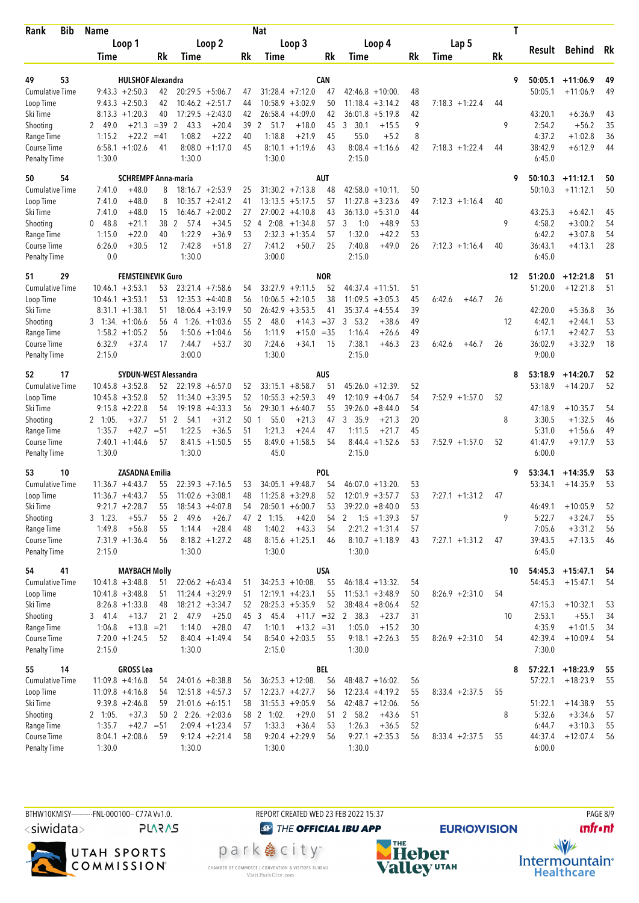| Bib<br>Rank               | <b>Name</b>                                     |                                                      |          | <b>Nat</b>                                 |             |                                            |          |                   | T  |                   |                         |          |
|---------------------------|-------------------------------------------------|------------------------------------------------------|----------|--------------------------------------------|-------------|--------------------------------------------|----------|-------------------|----|-------------------|-------------------------|----------|
|                           | Loop 1                                          | Loop 2                                               |          | Loop 3                                     |             | Loop 4                                     |          | Lap 5             |    |                   |                         |          |
|                           | Time                                            | Rk<br>Time                                           | Rk       | Time                                       | Rk          | Time                                       | Rk       | Time              | Rk | Result            | Behind                  | Rk       |
|                           |                                                 |                                                      |          |                                            |             |                                            |          |                   |    |                   |                         |          |
| 49<br>53                  |                                                 | <b>HULSHOF Alexandra</b>                             |          | <b>CAN</b>                                 |             |                                            |          |                   | 9  | 50:05.1           | $+11:06.9$              | 49       |
| <b>Cumulative Time</b>    | $9:43.3 + 2:50.3$                               | 42<br>$20:29.5 + 5:06.7$                             | 47       | $31:28.4 +7:12.0$                          | 47          | $42:46.8 + 10:00$                          | 48       |                   |    | 50:05.1           | $+11:06.9$              | 49       |
| Loop Time<br>Ski Time     | $9:43.3 + 2:50.3$<br>$8:13.3 +1:20.3$           | $10:46.2 + 2:51.7$<br>42<br>40<br>$17:29.5 + 2:43.0$ | 44<br>42 | $10:58.9 + 3:02.9$<br>$26:58.4 +4:09.0$    | 50<br>42    | $11:18.4 + 3:14.2$<br>36:01.8<br>$+5:19.8$ | 48<br>42 | $7:18.3 + 1:22.4$ | 44 | 43:20.1           | $+6:36.9$               | 43       |
| Shooting                  | 2 49.0                                          | $+21.3 = 39$<br>$\overline{2}$<br>43.3<br>$+20.4$    | 39       | $+18.0$<br>2<br>51.7                       | 45          | - 30.1<br>$+15.5$<br>3                     | 9        |                   | 9  | 2:54.2            | $+56.2$                 | 35       |
| Range Time                | $+22.2$<br>1:15.2                               | 1:08.2<br>$+22.2$<br>$=41$                           | 40       | 1:18.8<br>$+21.9$                          | 45          | 55.0<br>$+5.2$                             | 8        |                   |    | 4:37.2            | $+1:02.8$               | 36       |
| Course Time               | $6:58.1 + 1:02.6$                               | $8:08.0 + 1:17.0$<br>41                              | 45       | $8:10.1 + 1:19.6$                          | 43          | $8:08.4 +1:16.6$                           | 42       | $7:18.3 + 1:22.4$ | 44 | 38:42.9           | $+6:12.9$               | 44       |
| <b>Penalty Time</b>       | 1:30.0                                          | 1:30.0                                               |          | 1:30.0                                     |             | 2:15.0                                     |          |                   |    | 6:45.0            |                         |          |
| 50<br>54                  |                                                 | <b>SCHREMPF Anna-maria</b>                           |          | <b>AUT</b>                                 |             |                                            |          |                   | 9  | 50:10.3           | $+11:12.1$              | 50       |
| Cumulative Time           | $+48.0$<br>7:41.0                               | $18:16.7 + 2:53.9$<br>8                              | 25       | $31:30.2 +7:13.8$                          | 48          | $42:58.0 + 10:11$ .                        | 50       |                   |    | 50:10.3           | $+11:12.1$              | 50       |
| Loop Time                 | $+48.0$<br>7:41.0                               | $10:35.7 + 2:41.2$<br>8                              | 41       | $13:13.5 + 5:17.5$                         | 57          | 11:27.8<br>$+3:23.6$                       | 49       | $7:12.3 +1:16.4$  | 40 |                   |                         |          |
| Ski Time                  | $+48.0$<br>7:41.0                               | $16:46.7 + 2:00.2$<br>15                             | 27       | $27:00.2 +4:10.8$                          | 43          | 36:13.0<br>$+5:31.0$                       | 44       |                   |    | 43:25.3           | $+6:42.1$               | 45       |
| Shooting                  | 048.8<br>$+21.1$                                | 38<br>2<br>57.4<br>$+34.5$                           | 52       | $2:08. +1:34.8$<br>4                       | 57          | 3<br>1:0<br>$+48.9$                        | 53       |                   | 9  | 4:58.2            | $+3:00.2$               | 54       |
| Range Time                | $+22.0$<br>1:15.0                               | 1:22.9<br>40<br>$+36.9$                              | 53       | $2:32.3 +1:35.4$                           | 57          | 1:32.0<br>$+42.2$                          | 53       |                   |    | 6:42.2            | $+3:07.8$               | 54       |
| Course Time               | 6:26.0<br>$+30.5$                               | 12<br>7:42.8<br>$+51.8$                              | 27       | 7:41.2<br>$+50.7$                          | 25          | 7:40.8<br>$+49.0$                          | 26       | $7:12.3 +1:16.4$  | 40 | 36:43.1           | $+4:13.1$               | 28       |
| <b>Penalty Time</b>       | 0.0                                             | 1:30.0                                               |          | 3:00.0                                     |             | 2:15.0                                     |          |                   |    | 6:45.0            |                         |          |
| 29<br>51                  |                                                 | <b>FEMSTEINEVIK Guro</b>                             |          | <b>NOR</b>                                 |             |                                            |          |                   | 12 | 51:20.0           | $+12:21.8$              | 51       |
| <b>Cumulative Time</b>    | $10:46.1 + 3:53.1$                              | $23:21.4$ +7:58.6<br>53                              | 54       | $33:27.9 +9:11.5$                          | 52          | $44:37.4 +11:51$ .                         | 51       |                   |    | 51:20.0           | $+12:21.8$              | 51       |
| Loop Time                 | $10:46.1 + 3:53.1$                              | $12:35.3 +4:40.8$<br>53                              | 56       | $10:06.5 + 2:10.5$                         | 38          | $11:09.5 + 3:05.3$                         | 45       | 6:42.6<br>$+46.7$ | 26 |                   |                         |          |
| Ski Time                  | $8:31.1 + 1:38.1$                               | $18:06.4 + 3:19.9$<br>51                             | 50       | $26:42.9 + 3:53.5$                         | 41          | $35:37.4 +4:55.4$                          | 39       |                   |    | 42:20.0           | $+5:36.8$               | 36       |
| Shooting                  | $3$ 1:34. $+1:06.6$<br>$1:58.2 + 1:05.2$        | 56<br>$1:26. +1:03.6$<br>$\overline{4}$<br>56        | 55<br>56 | 2<br>48.0<br>$+14.3$<br>1:11.9<br>$+15.0$  | $=37$       | 3<br>53.2<br>$+38.6$<br>1:16.4<br>$+26.6$  | 49<br>49 |                   | 12 | 4:42.1<br>6:17.1  | $+2:44.1$<br>$+2:42.7$  | 53<br>53 |
| Range Time<br>Course Time | 6:32.9<br>$+37.4$                               | $1:50.6 + 1:04.6$<br>$+53.7$<br>17<br>7:44.7         | 30       | 7:24.6<br>$+34.1$                          | $=35$<br>15 | 7:38.1<br>$+46.3$                          | 23       | 6:42.6<br>$+46.7$ | 26 | 36:02.9           | $+3:32.9$               | 18       |
| <b>Penalty Time</b>       | 2:15.0                                          | 3:00.0                                               |          | 1:30.0                                     |             | 2:15.0                                     |          |                   |    | 9:00.0            |                         |          |
| 52<br>17                  |                                                 | <b>SYDUN-WEST Alessandra</b>                         |          | <b>AUS</b>                                 |             |                                            |          |                   | 8  | 53:18.9           | $+14:20.7$              | 52       |
| <b>Cumulative Time</b>    | $10:45.8 + 3:52.8$                              | 52<br>$22:19.8 + 6:57.0$                             | 52       | $33:15.1 + 8:58.7$                         | 51          | $45:26.0 + 12:39$                          | 52       |                   |    | 53:18.9           | $+14:20.7$              | 52       |
| Loop Time                 | $10:45.8 + 3:52.8$                              | 52<br>$11:34.0 + 3:39.5$                             | 52       | $10:55.3 + 2:59.3$                         | 49          | 12:10.9<br>$+4:06.7$                       | 54       | $7:52.9$ +1:57.0  | 52 |                   |                         |          |
| Ski Time                  | $9:15.8 + 2:22.8$                               | $19:19.8 + 4:33.3$<br>54                             | 56       | $29:30.1 + 6:40.7$                         | 55          | 39:26.0<br>$+8:44.0$                       | 54       |                   |    | 47:18.9           | $+10:35.7$              | 54       |
| Shooting                  | $+37.7$<br>$2 \quad 1:05.$                      | 51<br>2<br>$+31.2$<br>54.1                           | 50       | 55.0<br>$+21.3$<br>1                       | 47          | 3 35.9<br>$+21.3$                          | 20       |                   | 8  | 3:30.5            | $+1:32.5$               | 46       |
| Range Time                | 1:35.7<br>$+42.7$                               | 1:22.5<br>$+36.5$<br>$= 51$                          | 51       | 1:21.3<br>$+24.4$                          | 47          | 1:11.5<br>$+21.7$                          | 45       |                   |    | 5:31.0            | $+1:56.6$               | 49       |
| Course Time               | $7:40.1 + 1:44.6$                               | 57<br>$8:41.5 +1:50.5$                               | 55       | $8:49.0 +1:58.5$                           | 54          | $8:44.4 + 1:52.6$                          | 53       | $7:52.9$ +1:57.0  | 52 | 41:47.9           | $+9:17.9$               | 53       |
| <b>Penalty Time</b>       | 1:30.0                                          | 1:30.0                                               |          | 45.0                                       |             | 2:15.0                                     |          |                   |    | 6:00.0            |                         |          |
| 53<br>10                  | <b>ZASADNA Emilia</b>                           |                                                      |          | <b>POL</b>                                 |             |                                            |          |                   | 9  | 53:34.1           | $+14:35.9$              | 53       |
| Cumulative Time           | $11:36.7 + 4:43.7$                              | $22:39.3 +7:16.5$<br>55                              | 53       | $34:05.1 + 9:48.7$                         | 54          | $46:07.0 + 13:20$                          | 53       |                   |    | 53:34.1           | $+14:35.9$              | 53       |
| Loop Time                 | $11:36.7 + 4:43.7$                              | 55<br>$11:02.6 + 3:08.1$                             | 48       | $11:25.8 + 3:29.8$                         | 52          | $12:01.9 + 3:57.7$                         | 53       | $7:27.1 + 1:31.2$ | 47 |                   |                         |          |
| Ski Time                  | $9:21.7 +2:28.7$                                | $18:54.3 + 4:07.8$<br>55                             | 54       | $28:50.1 + 6:00.7$                         | 53          | $39:22.0 + 8:40.0$                         | 53       |                   |    | 46:49.1           | $+10:05.9$              | 52       |
| Shooting<br>Range Time    | $3 - 1:23$ .<br>$+55.7$<br>$+56.8$<br>1:49.8    | 55 2 49.6<br>$+26.7$<br>$+28.4$<br>55<br>1:14.4      | 48       | 47 2 1:15.<br>$+42.0$<br>1:40.2<br>$+43.3$ | 54<br>54    | $1:5 + 1:39.3$<br>2<br>$2:21.2 +1:31.4$    | 57<br>57 |                   | 9  | 5:22.7<br>7:05.6  | $+3:24.7$<br>$+3:31.2$  | 55<br>56 |
| Course Time               | $7:31.9 +1:36.4$                                | 56<br>$8:18.2 + 1:27.2$                              | 48       | $8:15.6 + 1:25.1$                          | 46          | $8:10.7 + 1:18.9$                          | 43       | $7:27.1 + 1:31.2$ | 47 | 39:43.5           | $+7:13.5$               | 46       |
| <b>Penalty Time</b>       | 2:15.0                                          | 1:30.0                                               |          | 1:30.0                                     |             | 1:30.0                                     |          |                   |    | 6:45.0            |                         |          |
| 54<br>41                  | <b>MAYBACH Molly</b>                            |                                                      |          | <b>USA</b>                                 |             |                                            |          |                   | 10 | 54:45.3           | $+15:47.1$              | 54       |
| Cumulative Time           | $10:41.8 + 3:48.8$                              | $22:06.2 + 6:43.4$<br>51                             | 51       | $34:25.3 + 10:08$ .                        | 55          | $46:18.4 + 13:32$ .                        | 54       |                   |    | 54:45.3           | $+15:47.1$              | 54       |
| Loop Time                 | $10:41.8 + 3:48.8$                              | $11:24.4 + 3:29.9$<br>51                             | 51       | $12:19.1 + 4:23.1$                         | 55          | $11:53.1 + 3:48.9$                         | 50       | $8:26.9 +2:31.0$  | 54 |                   |                         |          |
| Ski Time                  | $8:26.8 +1:33.8$                                | $18:21.2 +3:34.7$<br>48                              | 52       | $28:25.3 + 5:35.9$                         | 52          | $38:48.4 + 8:06.4$                         | 52       |                   |    | 47:15.3           | $+10:32.1$              | 53       |
| Shooting                  | 3, 41.4<br>$+13.7$                              | 21<br>2 47.9<br>$+25.0$                              | 45       | 3 45.4<br>$+11.7 = 32$                     |             | 2 38.3<br>$+23.7$                          | 31       |                   | 10 | 2:53.1            | $+55.1$                 | 34       |
| Range Time                | $+13.8 = 21$<br>1:06.8                          | 1:14.0<br>$+28.0$                                    | 47       | 1:10.1<br>$+13.2 = 31$                     |             | 1:05.0<br>$+15.2$                          | 30       |                   |    | 4:35.9            | $+1:01.5$               | 34       |
| Course Time               | $7:20.0 +1:24.5$                                | $8:40.4 +1:49.4$<br>52                               | 54       | $8:54.0 + 2:03.5$                          | 55          | $9:18.1 + 2:26.3$                          | 55       | $8:26.9 +2:31.0$  | 54 | 42:39.4           | $+10:09.4$              | 54       |
| Penalty Time              | 2:15.0                                          | 1:30.0                                               |          | 2:15.0                                     |             | 1:30.0                                     |          |                   |    | 7:30.0            |                         |          |
| 55<br>14                  | <b>GROSS Lea</b>                                |                                                      |          | BEL                                        |             |                                            |          |                   | 8  | 57:22.1           | $+18:23.9$              | 55       |
| Cumulative Time           | $11:09.8 +4:16.8$                               | 54<br>$24:01.6 + 8:38.8$                             | 56       | $36:25.3 +12:08$ .                         | 56          | $48:48.7 + 16:02$ .                        | 56       |                   |    | 57:22.1           | $+18:23.9$              | 55       |
| Loop Time                 | $11:09.8 + 4:16.8$                              | $12:51.8 +4:57.3$<br>54                              | 57       | $12:23.7 +4:27.7$                          | 56          | $12:23.4 +4:19.2$                          | 55       | $8:33.4 +2:37.5$  | 55 |                   |                         |          |
| Ski Time<br>Shooting      | $9:39.8 + 2:46.8$<br>$+37.3$<br>$2 \quad 1:05.$ | $21:01.6 + 6:15.1$<br>59<br>$50$ 2 2:26. $+2:03.6$   | 58       | $31:55.3 +9:05.9$<br>58 2 1:02.<br>$+29.0$ | 56<br>51    | $42:48.7 +12:06$ .<br>2 58.2<br>$+43.6$    | 56<br>51 |                   | 8  | 51:22.1<br>5:32.6 | $+14:38.9$<br>$+3:34.6$ | 55<br>57 |
| Range Time                | $+42.7 = 51$<br>1:35.7                          | $2:09.4 +1:23.4$                                     | 57       | 1:33.3<br>$+36.4$                          | 53          | 1:26.3<br>$+36.5$                          | 52       |                   |    | 6:44.7            | $+3:10.3$               | 55       |
| Course Time               | $8:04.1 + 2:08.6$                               | $9:12.4 +2:21.4$<br>59                               | 58       | $9:20.4 +2:29.9$                           | 56          | $9:27.1 + 2:35.3$                          | 56       | $8:33.4 +2:37.5$  | 55 | 44:37.4           | $+12:07.4$              | 56       |
| Penalty Time              | 1:30.0                                          | 1:30.0                                               |          | 1:30.0                                     |             | 1:30.0                                     |          |                   |    | 6:00.0            |                         |          |
|                           |                                                 |                                                      |          |                                            |             |                                            |          |                   |    |                   |                         |          |

BTHW10KMISY----------FNL-000100-- C77A Vv1.0. REPORT CREATED WED 23 FEB 2022 15:37 PAGE 8/9  $\langle$ siwidata $\rangle$ **PLARAS** 



**O THE OFFICIAL IBU APP** 

park e city<sup>®</sup>

CHAMBER OF COMMERCE | CONVENTION & VISITORS BUREAU<br>Visit Park City.com



**unfront**